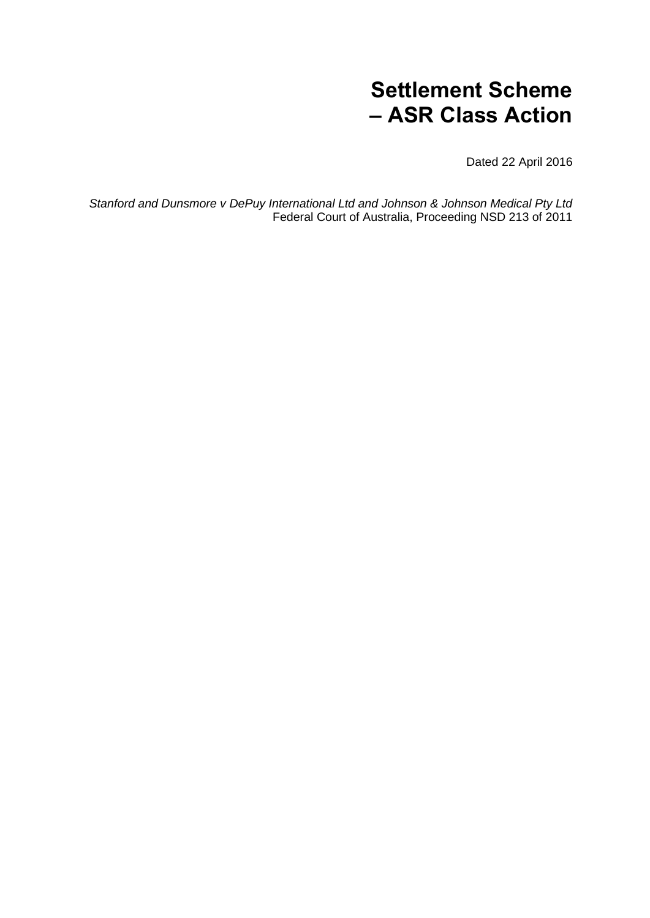# **Settlement Scheme – ASR Class Action**

Dated 22 April 2016

*Stanford and Dunsmore v DePuy International Ltd and Johnson & Johnson Medical Pty Ltd* Federal Court of Australia, Proceeding NSD 213 of 2011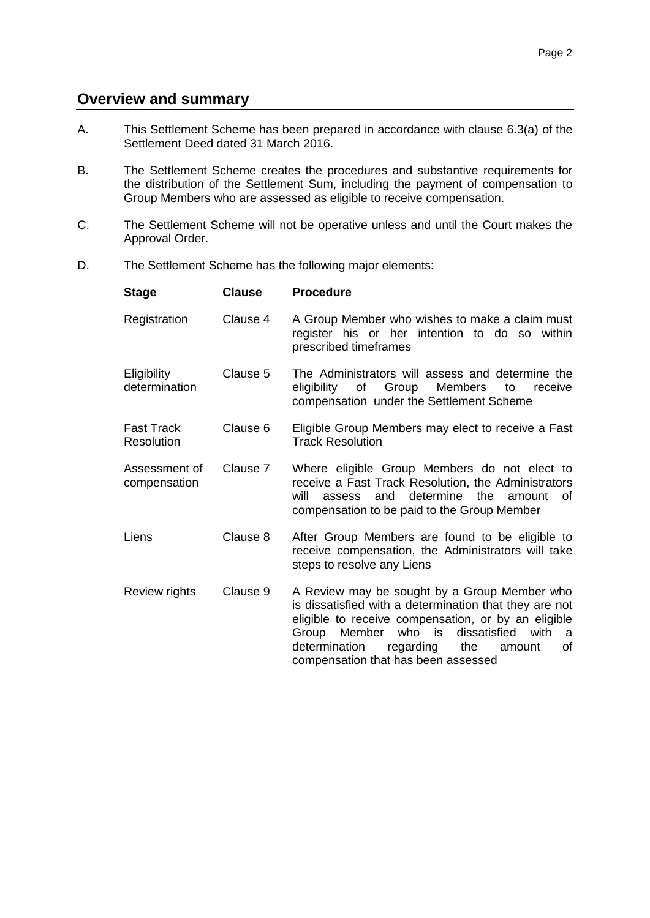# **Overview and summary**

- A. This Settlement Scheme has been prepared in accordance with clause 6.3(a) of the Settlement Deed dated 31 March 2016.
- B. The Settlement Scheme creates the procedures and substantive requirements for the distribution of the Settlement Sum, including the payment of compensation to Group Members who are assessed as eligible to receive compensation.
- C. The Settlement Scheme will not be operative unless and until the Court makes the Approval Order.
- D. The Settlement Scheme has the following major elements:

| <b>Stage</b>                    | <b>Clause</b> | <b>Procedure</b>                                                                                                                                                                                                                                                                                                    |
|---------------------------------|---------------|---------------------------------------------------------------------------------------------------------------------------------------------------------------------------------------------------------------------------------------------------------------------------------------------------------------------|
| Registration                    | Clause 4      | A Group Member who wishes to make a claim must<br>register his or her intention to do so within<br>prescribed timeframes                                                                                                                                                                                            |
| Eligibility<br>determination    | Clause 5      | The Administrators will assess and determine the<br>eligibility of Group<br>Members<br>to<br>receive<br>compensation under the Settlement Scheme                                                                                                                                                                    |
| <b>Fast Track</b><br>Resolution | Clause 6      | Eligible Group Members may elect to receive a Fast<br><b>Track Resolution</b>                                                                                                                                                                                                                                       |
| Assessment of<br>compensation   | Clause 7      | Where eligible Group Members do not elect to<br>receive a Fast Track Resolution, the Administrators<br>and determine the amount<br>will<br>assess<br>οf<br>compensation to be paid to the Group Member                                                                                                              |
| Liens                           | Clause 8      | After Group Members are found to be eligible to<br>receive compensation, the Administrators will take<br>steps to resolve any Liens                                                                                                                                                                                 |
| Review rights                   | Clause 9      | A Review may be sought by a Group Member who<br>is dissatisfied with a determination that they are not<br>eligible to receive compensation, or by an eligible<br>who is<br>Member<br>dissatisfied<br>with<br>Group<br>a<br>regarding<br>οf<br>determination<br>the<br>amount<br>compensation that has been assessed |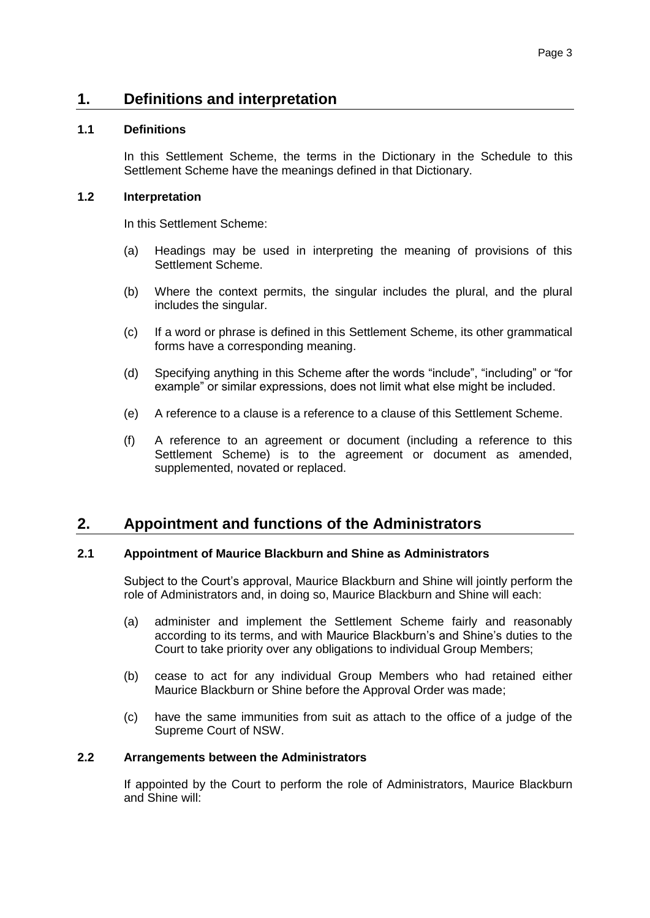# **1. Definitions and interpretation**

### **1.1 Definitions**

In this Settlement Scheme, the terms in the Dictionary in the Schedule to this Settlement Scheme have the meanings defined in that Dictionary.

#### **1.2 Interpretation**

In this Settlement Scheme:

- (a) Headings may be used in interpreting the meaning of provisions of this Settlement Scheme.
- (b) Where the context permits, the singular includes the plural, and the plural includes the singular.
- (c) If a word or phrase is defined in this Settlement Scheme, its other grammatical forms have a corresponding meaning.
- (d) Specifying anything in this Scheme after the words "include", "including" or "for example" or similar expressions, does not limit what else might be included.
- (e) A reference to a clause is a reference to a clause of this Settlement Scheme.
- (f) A reference to an agreement or document (including a reference to this Settlement Scheme) is to the agreement or document as amended, supplemented, novated or replaced.

# **2. Appointment and functions of the Administrators**

#### <span id="page-2-2"></span>**2.1 Appointment of Maurice Blackburn and Shine as Administrators**

Subject to the Court's approval, Maurice Blackburn and Shine will jointly perform the role of Administrators and, in doing so, Maurice Blackburn and Shine will each:

- <span id="page-2-0"></span>(a) administer and implement the Settlement Scheme fairly and reasonably according to its terms, and with Maurice Blackburn's and Shine's duties to the Court to take priority over any obligations to individual Group Members;
- <span id="page-2-1"></span>(b) cease to act for any individual Group Members who had retained either Maurice Blackburn or Shine before the Approval Order was made;
- (c) have the same immunities from suit as attach to the office of a judge of the Supreme Court of NSW.

#### **2.2 Arrangements between the Administrators**

If appointed by the Court to perform the role of Administrators, Maurice Blackburn and Shine will: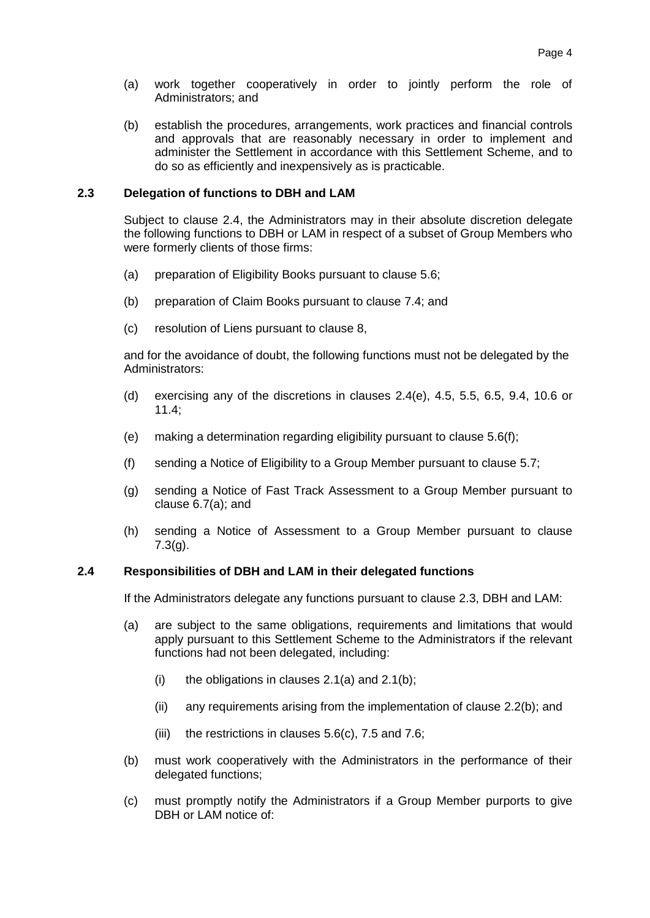- (a) work together cooperatively in order to jointly perform the role of Administrators; and
- <span id="page-3-2"></span>(b) establish the procedures, arrangements, work practices and financial controls and approvals that are reasonably necessary in order to implement and administer the Settlement in accordance with this Settlement Scheme, and to do so as efficiently and inexpensively as is practicable.

#### <span id="page-3-1"></span>**2.3 Delegation of functions to DBH and LAM**

Subject to clause [2.4,](#page-3-0) the Administrators may in their absolute discretion delegate the following functions to DBH or LAM in respect of a subset of Group Members who were formerly clients of those firms:

- (a) preparation of Eligibility Books pursuant to clause [5.6;](#page-9-0)
- (b) preparation of Claim Books pursuant to clause [7.4;](#page-14-0) and
- (c) resolution of Liens pursuant to clause [8,](#page-16-0)

and for the avoidance of doubt, the following functions must not be delegated by the Administrators:

- (d) exercising any of the discretions in clauses [2.4\(e\),](#page-4-0) [4.5,](#page-5-1) [5.5,](#page-8-0) [6.5,](#page-11-0) [9.4,](#page-19-0) [10.6](#page-22-0) or [11.4;](#page-23-0)
- (e) making a determination regarding eligibility pursuant to clause [5.6\(f\);](#page-9-1)
- (f) sending a Notice of Eligibility to a Group Member pursuant to clause [5.7;](#page-10-1)
- (g) sending a Notice of Fast Track Assessment to a Group Member pursuant to clause [6.7\(a\);](#page-11-1) and
- (h) sending a Notice of Assessment to a Group Member pursuant to clause [7.3\(g\).](#page-13-0)

#### <span id="page-3-0"></span>**2.4 Responsibilities of DBH and LAM in their delegated functions**

If the Administrators delegate any functions pursuant to clause [2.3,](#page-3-1) DBH and LAM:

- (a) are subject to the same obligations, requirements and limitations that would apply pursuant to this Settlement Scheme to the Administrators if the relevant functions had not been delegated, including:
	- (i) the obligations in clauses  $2.1(a)$  and  $2.1(b)$ ;
	- (ii) any requirements arising from the implementation of clause [2.2\(b\);](#page-3-2) and
	- (iii) the restrictions in clauses  $5.6(c)$ , [7.5](#page-14-1) and [7.6;](#page-15-0)
- (b) must work cooperatively with the Administrators in the performance of their delegated functions;
- (c) must promptly notify the Administrators if a Group Member purports to give DBH or LAM notice of: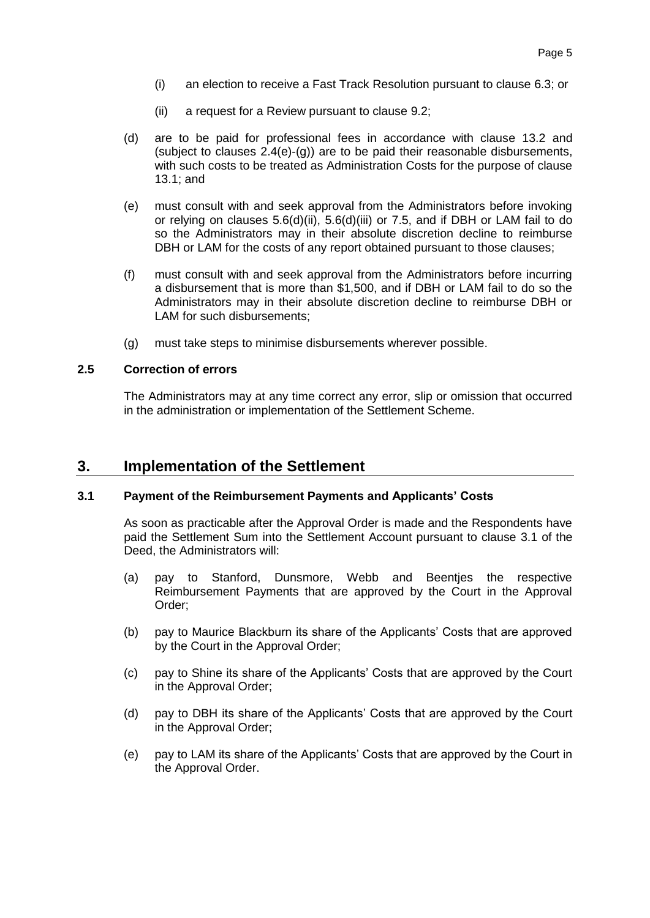- (i) an election to receive a Fast Track Resolution pursuant to clause [6.3;](#page-11-2) or
- (ii) a request for a Review pursuant to clause [9.2;](#page-19-1)
- (d) are to be paid for professional fees in accordance with clause [13.2](#page-25-0) and (subject to clauses  $2.4(e)-(q)$ ) are to be paid their reasonable disbursements, with such costs to be treated as Administration Costs for the purpose of clause [13.1;](#page-24-0) and
- <span id="page-4-0"></span>(e) must consult with and seek approval from the Administrators before invoking or relying on clauses [5.6\(d\)\(ii\),](#page-9-3) [5.6\(d\)\(iii\)](#page-9-4) or [7.5,](#page-14-1) and if DBH or LAM fail to do so the Administrators may in their absolute discretion decline to reimburse DBH or LAM for the costs of any report obtained pursuant to those clauses;
- (f) must consult with and seek approval from the Administrators before incurring a disbursement that is more than \$1,500, and if DBH or LAM fail to do so the Administrators may in their absolute discretion decline to reimburse DBH or LAM for such disbursements;
- (g) must take steps to minimise disbursements wherever possible.

#### <span id="page-4-1"></span>**2.5 Correction of errors**

The Administrators may at any time correct any error, slip or omission that occurred in the administration or implementation of the Settlement Scheme.

# **3. Implementation of the Settlement**

#### **3.1 Payment of the Reimbursement Payments and Applicants' Costs**

As soon as practicable after the Approval Order is made and the Respondents have paid the Settlement Sum into the Settlement Account pursuant to clause 3.1 of the Deed, the Administrators will:

- (a) pay to Stanford, Dunsmore, Webb and Beentjes the respective Reimbursement Payments that are approved by the Court in the Approval Order;
- (b) pay to Maurice Blackburn its share of the Applicants' Costs that are approved by the Court in the Approval Order;
- (c) pay to Shine its share of the Applicants' Costs that are approved by the Court in the Approval Order;
- (d) pay to DBH its share of the Applicants' Costs that are approved by the Court in the Approval Order;
- (e) pay to LAM its share of the Applicants' Costs that are approved by the Court in the Approval Order.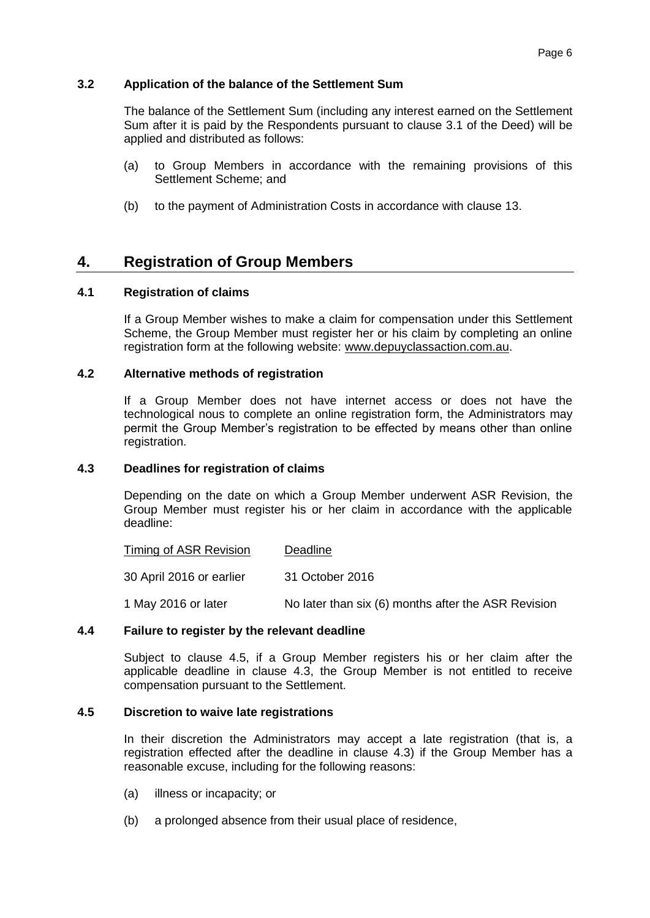#### **3.2 Application of the balance of the Settlement Sum**

The balance of the Settlement Sum (including any interest earned on the Settlement Sum after it is paid by the Respondents pursuant to clause 3.1 of the Deed) will be applied and distributed as follows:

- (a) to Group Members in accordance with the remaining provisions of this Settlement Scheme; and
- (b) to the payment of Administration Costs in accordance with clause [13.](#page-24-1)

# <span id="page-5-0"></span>**4. Registration of Group Members**

#### **4.1 Registration of claims**

If a Group Member wishes to make a claim for compensation under this Settlement Scheme, the Group Member must register her or his claim by completing an online registration form at the following website: [www.depuyclassaction.com.au.](http://www.depuyclassaction.com.au/)

#### **4.2 Alternative methods of registration**

If a Group Member does not have internet access or does not have the technological nous to complete an online registration form, the Administrators may permit the Group Member's registration to be effected by means other than online registration.

#### <span id="page-5-2"></span>**4.3 Deadlines for registration of claims**

Depending on the date on which a Group Member underwent ASR Revision, the Group Member must register his or her claim in accordance with the applicable deadline:

| Timing of ASR Revision   | Deadline        |  |  |
|--------------------------|-----------------|--|--|
| 30 April 2016 or earlier | 31 October 2016 |  |  |
|                          |                 |  |  |

1 May 2016 or later No later than six (6) months after the ASR Revision

#### **4.4 Failure to register by the relevant deadline**

Subject to clause [4.5,](#page-5-1) if a Group Member registers his or her claim after the applicable deadline in clause [4.3,](#page-5-2) the Group Member is not entitled to receive compensation pursuant to the Settlement.

#### <span id="page-5-1"></span>**4.5 Discretion to waive late registrations**

In their discretion the Administrators may accept a late registration (that is, a registration effected after the deadline in clause [4.3\)](#page-5-2) if the Group Member has a reasonable excuse, including for the following reasons:

- (a) illness or incapacity; or
- (b) a prolonged absence from their usual place of residence,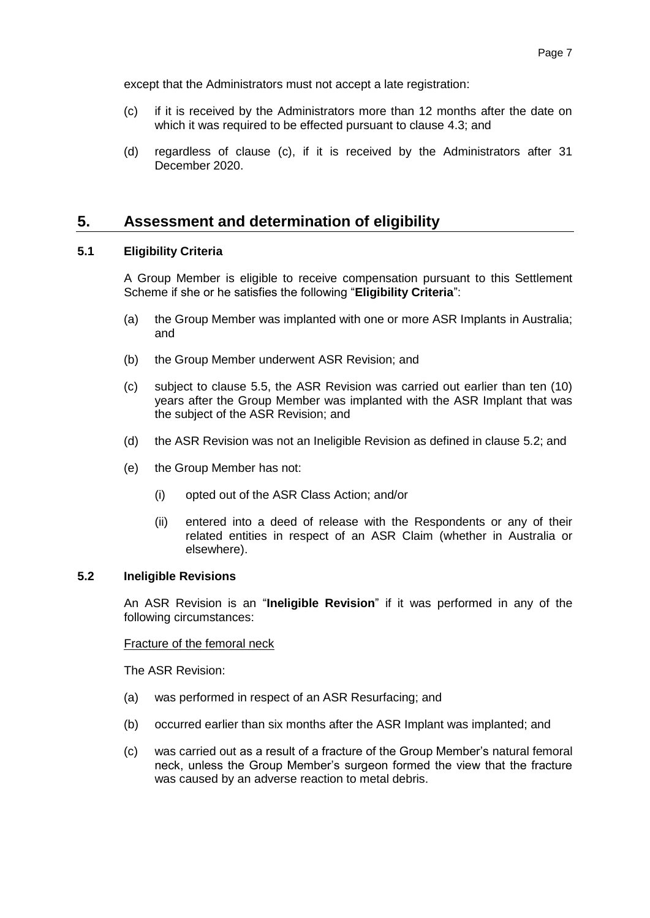except that the Administrators must not accept a late registration:

- <span id="page-6-1"></span>(c) if it is received by the Administrators more than 12 months after the date on which it was required to be effected pursuant to clause [4.3;](#page-5-2) and
- (d) regardless of clause [\(c\),](#page-6-1) if it is received by the Administrators after 31 December 2020.

# <span id="page-6-0"></span>**5. Assessment and determination of eligibility**

#### <span id="page-6-3"></span>**5.1 Eligibility Criteria**

A Group Member is eligible to receive compensation pursuant to this Settlement Scheme if she or he satisfies the following "**Eligibility Criteria**":

- (a) the Group Member was implanted with one or more ASR Implants in Australia; and
- (b) the Group Member underwent ASR Revision; and
- <span id="page-6-4"></span>(c) subject to clause [5.5,](#page-8-0) the ASR Revision was carried out earlier than ten (10) years after the Group Member was implanted with the ASR Implant that was the subject of the ASR Revision; and
- <span id="page-6-6"></span>(d) the ASR Revision was not an Ineligible Revision as defined in clause [5.2;](#page-6-2) and
- <span id="page-6-5"></span>(e) the Group Member has not:
	- (i) opted out of the ASR Class Action; and/or
	- (ii) entered into a deed of release with the Respondents or any of their related entities in respect of an ASR Claim (whether in Australia or elsewhere).

#### <span id="page-6-2"></span>**5.2 Ineligible Revisions**

An ASR Revision is an "**Ineligible Revision**" if it was performed in any of the following circumstances:

#### Fracture of the femoral neck

The ASR Revision:

- (a) was performed in respect of an ASR Resurfacing; and
- (b) occurred earlier than six months after the ASR Implant was implanted; and
- (c) was carried out as a result of a fracture of the Group Member's natural femoral neck, unless the Group Member's surgeon formed the view that the fracture was caused by an adverse reaction to metal debris.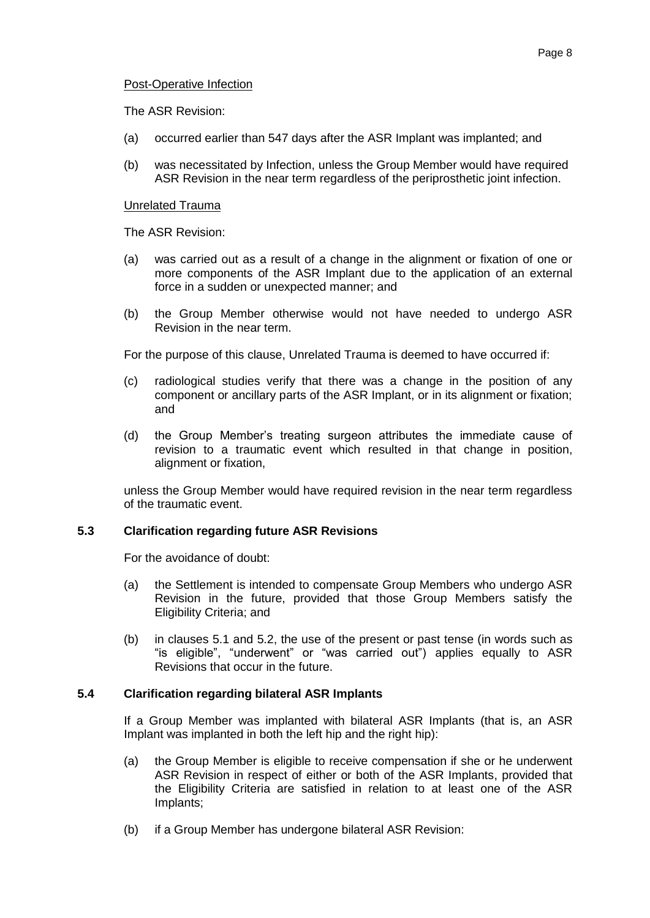The ASR Revision:

- (a) occurred earlier than 547 days after the ASR Implant was implanted; and
- (b) was necessitated by Infection, unless the Group Member would have required ASR Revision in the near term regardless of the periprosthetic joint infection.

#### Unrelated Trauma

The ASR Revision:

- (a) was carried out as a result of a change in the alignment or fixation of one or more components of the ASR Implant due to the application of an external force in a sudden or unexpected manner; and
- (b) the Group Member otherwise would not have needed to undergo ASR Revision in the near term.

For the purpose of this clause, Unrelated Trauma is deemed to have occurred if:

- (c) radiological studies verify that there was a change in the position of any component or ancillary parts of the ASR Implant, or in its alignment or fixation; and
- (d) the Group Member's treating surgeon attributes the immediate cause of revision to a traumatic event which resulted in that change in position, alignment or fixation,

unless the Group Member would have required revision in the near term regardless of the traumatic event.

# **5.3 Clarification regarding future ASR Revisions**

For the avoidance of doubt:

- (a) the Settlement is intended to compensate Group Members who undergo ASR Revision in the future, provided that those Group Members satisfy the Eligibility Criteria; and
- (b) in clauses [5.1](#page-6-3) and [5.2,](#page-6-2) the use of the present or past tense (in words such as "is eligible", "underwent" or "was carried out") applies equally to ASR Revisions that occur in the future.

# <span id="page-7-0"></span>**5.4 Clarification regarding bilateral ASR Implants**

If a Group Member was implanted with bilateral ASR Implants (that is, an ASR Implant was implanted in both the left hip and the right hip):

- (a) the Group Member is eligible to receive compensation if she or he underwent ASR Revision in respect of either or both of the ASR Implants, provided that the Eligibility Criteria are satisfied in relation to at least one of the ASR Implants;
- (b) if a Group Member has undergone bilateral ASR Revision: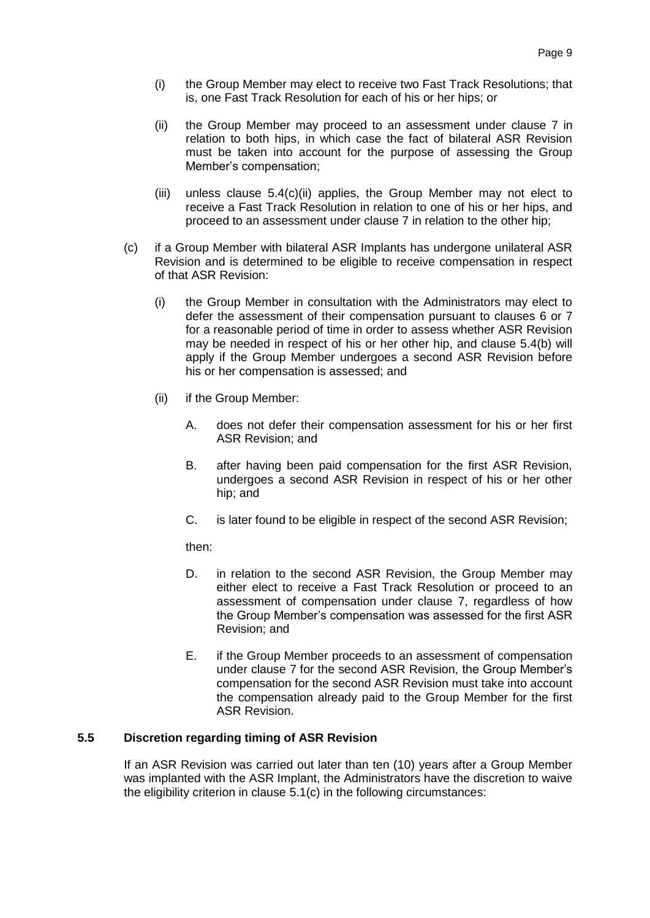- (i) the Group Member may elect to receive two Fast Track Resolutions; that is, one Fast Track Resolution for each of his or her hips; or
- (ii) the Group Member may proceed to an assessment under clause [7](#page-12-0) in relation to both hips, in which case the fact of bilateral ASR Revision must be taken into account for the purpose of assessing the Group Member's compensation;
- (iii) unless clause [5.4\(c\)\(ii\)](#page-7-0) applies, the Group Member may not elect to receive a Fast Track Resolution in relation to one of his or her hips, and proceed to an assessment under clause [7](#page-12-0) in relation to the other hip;
- (c) if a Group Member with bilateral ASR Implants has undergone unilateral ASR Revision and is determined to be eligible to receive compensation in respect of that ASR Revision:
	- (i) the Group Member in consultation with the Administrators may elect to defer the assessment of their compensation pursuant to clauses [6](#page-10-0) or [7](#page-12-0) for a reasonable period of time in order to assess whether ASR Revision may be needed in respect of his or her other hip, and clause [5.4\(b\)](#page-7-0) will apply if the Group Member undergoes a second ASR Revision before his or her compensation is assessed; and
	- (ii) if the Group Member:
		- A. does not defer their compensation assessment for his or her first ASR Revision; and
		- B. after having been paid compensation for the first ASR Revision, undergoes a second ASR Revision in respect of his or her other hip; and
		- C. is later found to be eligible in respect of the second ASR Revision;

then:

- D. in relation to the second ASR Revision, the Group Member may either elect to receive a Fast Track Resolution or proceed to an assessment of compensation under clause [7,](#page-12-0) regardless of how the Group Member's compensation was assessed for the first ASR Revision; and
- E. if the Group Member proceeds to an assessment of compensation under clause [7](#page-12-0) for the second ASR Revision, the Group Member's compensation for the second ASR Revision must take into account the compensation already paid to the Group Member for the first ASR Revision.

#### <span id="page-8-0"></span>**5.5 Discretion regarding timing of ASR Revision**

If an ASR Revision was carried out later than ten (10) years after a Group Member was implanted with the ASR Implant, the Administrators have the discretion to waive the eligibility criterion in clause [5.1\(c\)](#page-6-4) in the following circumstances: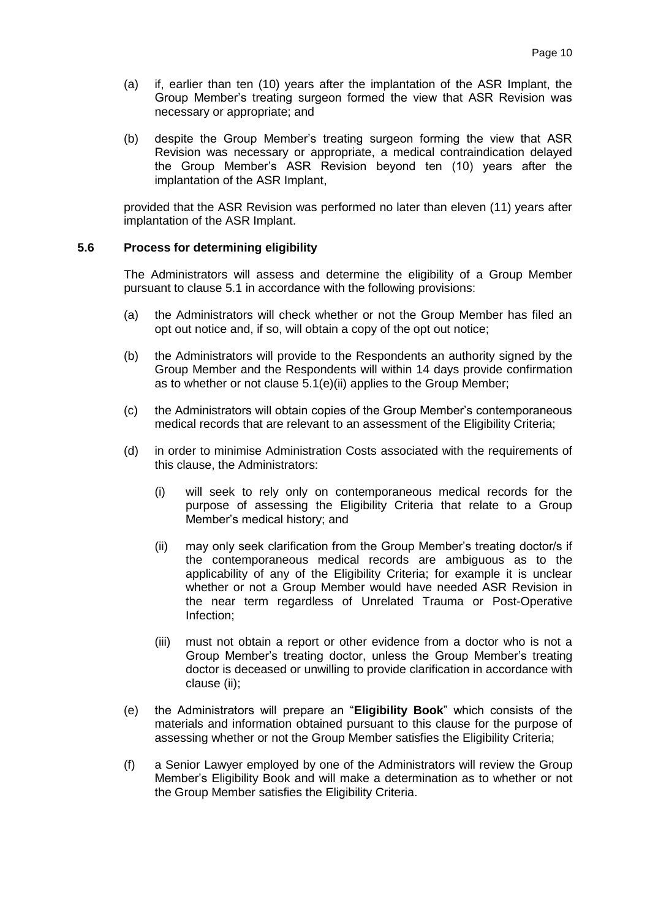- (a) if, earlier than ten (10) years after the implantation of the ASR Implant, the Group Member's treating surgeon formed the view that ASR Revision was necessary or appropriate; and
- (b) despite the Group Member's treating surgeon forming the view that ASR Revision was necessary or appropriate, a medical contraindication delayed the Group Member's ASR Revision beyond ten (10) years after the implantation of the ASR Implant,

provided that the ASR Revision was performed no later than eleven (11) years after implantation of the ASR Implant.

#### <span id="page-9-0"></span>**5.6 Process for determining eligibility**

The Administrators will assess and determine the eligibility of a Group Member pursuant to clause [5.1](#page-6-3) in accordance with the following provisions:

- <span id="page-9-5"></span>(a) the Administrators will check whether or not the Group Member has filed an opt out notice and, if so, will obtain a copy of the opt out notice;
- <span id="page-9-6"></span>(b) the Administrators will provide to the Respondents an authority signed by the Group Member and the Respondents will within 14 days provide confirmation as to whether or not clause [5.1\(e\)\(ii\)](#page-6-5) applies to the Group Member;
- <span id="page-9-2"></span>(c) the Administrators will obtain copies of the Group Member's contemporaneous medical records that are relevant to an assessment of the Eligibility Criteria;
- <span id="page-9-3"></span>(d) in order to minimise Administration Costs associated with the requirements of this clause, the Administrators:
	- (i) will seek to rely only on contemporaneous medical records for the purpose of assessing the Eligibility Criteria that relate to a Group Member's medical history; and
	- (ii) may only seek clarification from the Group Member's treating doctor/s if the contemporaneous medical records are ambiguous as to the applicability of any of the Eligibility Criteria; for example it is unclear whether or not a Group Member would have needed ASR Revision in the near term regardless of Unrelated Trauma or Post-Operative Infection;
	- (iii) must not obtain a report or other evidence from a doctor who is not a Group Member's treating doctor, unless the Group Member's treating doctor is deceased or unwilling to provide clarification in accordance with clause [\(ii\);](#page-9-3)
- <span id="page-9-7"></span><span id="page-9-4"></span>(e) the Administrators will prepare an "**Eligibility Book**" which consists of the materials and information obtained pursuant to this clause for the purpose of assessing whether or not the Group Member satisfies the Eligibility Criteria;
- <span id="page-9-1"></span>(f) a Senior Lawyer employed by one of the Administrators will review the Group Member's Eligibility Book and will make a determination as to whether or not the Group Member satisfies the Eligibility Criteria.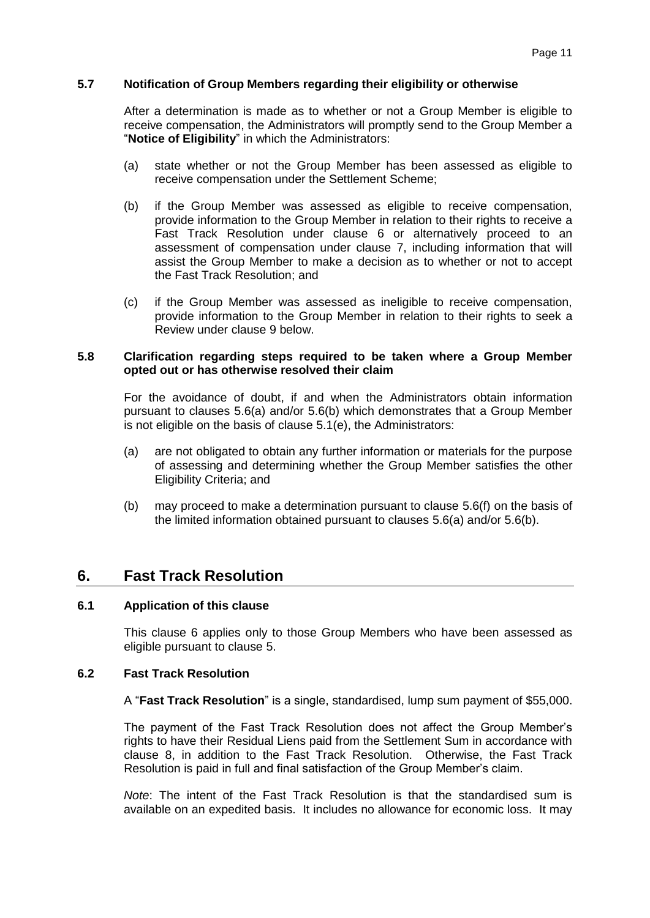#### <span id="page-10-1"></span>**5.7 Notification of Group Members regarding their eligibility or otherwise**

After a determination is made as to whether or not a Group Member is eligible to receive compensation, the Administrators will promptly send to the Group Member a "**Notice of Eligibility**" in which the Administrators:

- (a) state whether or not the Group Member has been assessed as eligible to receive compensation under the Settlement Scheme;
- (b) if the Group Member was assessed as eligible to receive compensation, provide information to the Group Member in relation to their rights to receive a Fast Track Resolution under clause [6](#page-10-0) or alternatively proceed to an assessment of compensation under clause [7,](#page-12-0) including information that will assist the Group Member to make a decision as to whether or not to accept the Fast Track Resolution; and
- (c) if the Group Member was assessed as ineligible to receive compensation, provide information to the Group Member in relation to their rights to seek a Review under clause [9](#page-18-0) below.

#### **5.8 Clarification regarding steps required to be taken where a Group Member opted out or has otherwise resolved their claim**

For the avoidance of doubt, if and when the Administrators obtain information pursuant to clauses [5.6\(a\)](#page-9-5) and/or [5.6\(b\)](#page-9-6) which demonstrates that a Group Member is not eligible on the basis of clause [5.1\(e\),](#page-6-6) the Administrators:

- (a) are not obligated to obtain any further information or materials for the purpose of assessing and determining whether the Group Member satisfies the other Eligibility Criteria; and
- (b) may proceed to make a determination pursuant to clause [5.6\(f\)](#page-9-1) on the basis of the limited information obtained pursuant to clauses [5.6\(a\)](#page-9-5) and/or [5.6\(b\).](#page-9-6)

# <span id="page-10-0"></span>**6. Fast Track Resolution**

#### <span id="page-10-2"></span>**6.1 Application of this clause**

This clause [6](#page-10-0) applies only to those Group Members who have been assessed as eligible pursuant to clause [5.](#page-6-0)

#### **6.2 Fast Track Resolution**

A "**Fast Track Resolution**" is a single, standardised, lump sum payment of \$55,000.

The payment of the Fast Track Resolution does not affect the Group Member's rights to have their Residual Liens paid from the Settlement Sum in accordance with clause [8,](#page-16-0) in addition to the Fast Track Resolution. Otherwise, the Fast Track Resolution is paid in full and final satisfaction of the Group Member's claim.

*Note*: The intent of the Fast Track Resolution is that the standardised sum is available on an expedited basis. It includes no allowance for economic loss. It may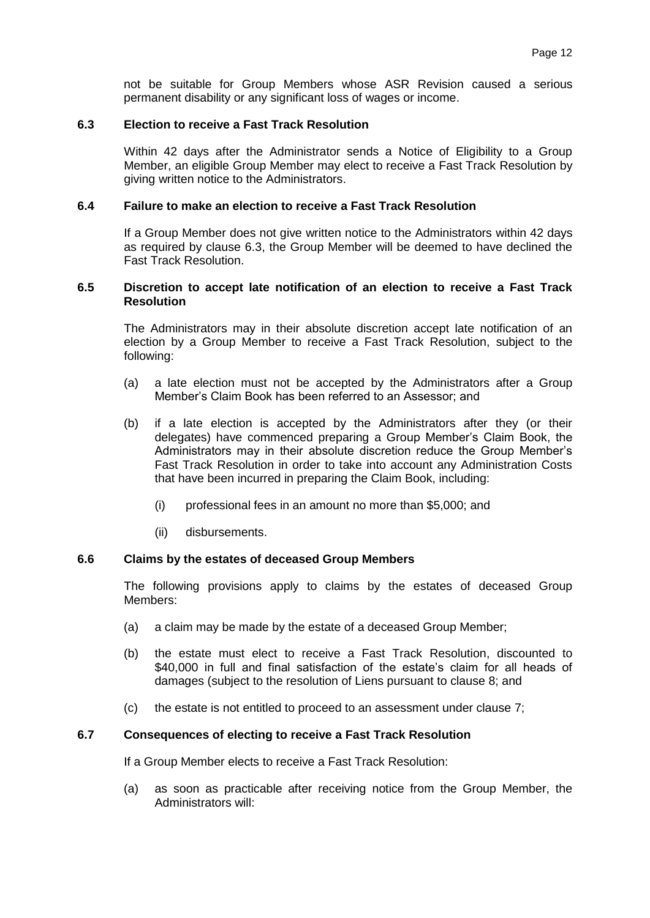not be suitable for Group Members whose ASR Revision caused a serious permanent disability or any significant loss of wages or income.

#### <span id="page-11-2"></span>**6.3 Election to receive a Fast Track Resolution**

Within 42 days after the Administrator sends a Notice of Eligibility to a Group Member, an eligible Group Member may elect to receive a Fast Track Resolution by giving written notice to the Administrators.

#### **6.4 Failure to make an election to receive a Fast Track Resolution**

If a Group Member does not give written notice to the Administrators within 42 days as required by clause [6.3,](#page-11-2) the Group Member will be deemed to have declined the Fast Track Resolution.

#### <span id="page-11-0"></span>**6.5 Discretion to accept late notification of an election to receive a Fast Track Resolution**

The Administrators may in their absolute discretion accept late notification of an election by a Group Member to receive a Fast Track Resolution, subject to the following:

- (a) a late election must not be accepted by the Administrators after a Group Member's Claim Book has been referred to an Assessor; and
- (b) if a late election is accepted by the Administrators after they (or their delegates) have commenced preparing a Group Member's Claim Book, the Administrators may in their absolute discretion reduce the Group Member's Fast Track Resolution in order to take into account any Administration Costs that have been incurred in preparing the Claim Book, including:
	- (i) professional fees in an amount no more than \$5,000; and
	- (ii) disbursements.

#### **6.6 Claims by the estates of deceased Group Members**

The following provisions apply to claims by the estates of deceased Group Members:

- (a) a claim may be made by the estate of a deceased Group Member;
- (b) the estate must elect to receive a Fast Track Resolution, discounted to \$40,000 in full and final satisfaction of the estate's claim for all heads of damages (subject to the resolution of Liens pursuant to clause [8;](#page-16-0) and
- (c) the estate is not entitled to proceed to an assessment under clause [7;](#page-12-0)

#### <span id="page-11-1"></span>**6.7 Consequences of electing to receive a Fast Track Resolution**

If a Group Member elects to receive a Fast Track Resolution:

(a) as soon as practicable after receiving notice from the Group Member, the Administrators will: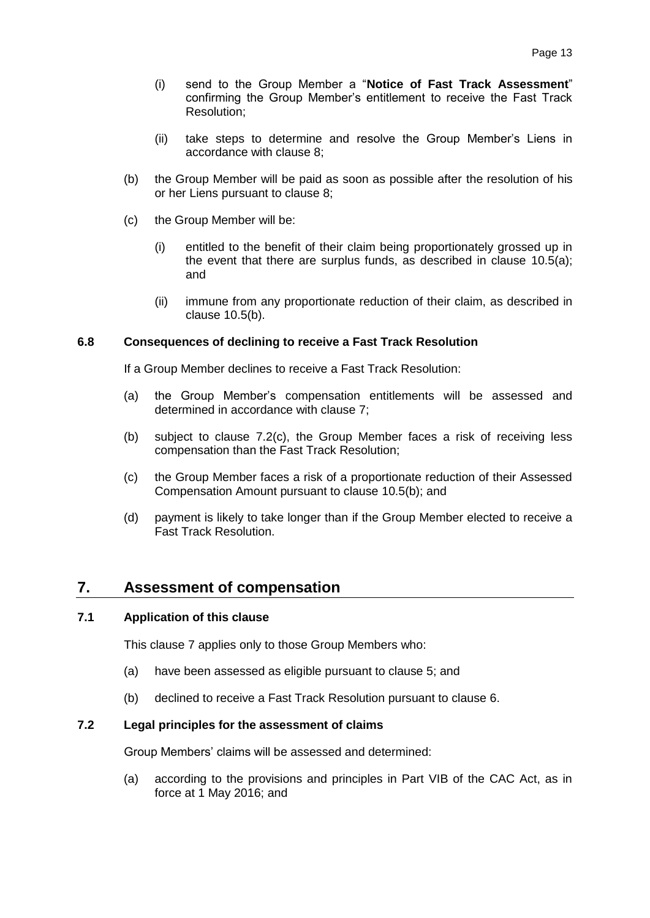- <span id="page-12-2"></span>(i) send to the Group Member a "**Notice of Fast Track Assessment**" confirming the Group Member's entitlement to receive the Fast Track Resolution;
- (ii) take steps to determine and resolve the Group Member's Liens in accordance with clause [8;](#page-16-0)
- (b) the Group Member will be paid as soon as possible after the resolution of his or her Liens pursuant to clause [8;](#page-16-0)
- (c) the Group Member will be:
	- (i) entitled to the benefit of their claim being proportionately grossed up in the event that there are surplus funds, as described in clause [10.5\(a\);](#page-22-1) and
	- (ii) immune from any proportionate reduction of their claim, as described in clause [10.5\(b\).](#page-22-2)

#### **6.8 Consequences of declining to receive a Fast Track Resolution**

If a Group Member declines to receive a Fast Track Resolution:

- (a) the Group Member's compensation entitlements will be assessed and determined in accordance with clause [7;](#page-12-0)
- (b) subject to clause [7.2\(c\),](#page-13-1) the Group Member faces a risk of receiving less compensation than the Fast Track Resolution;
- (c) the Group Member faces a risk of a proportionate reduction of their Assessed Compensation Amount pursuant to clause [10.5\(b\);](#page-22-2) and
- (d) payment is likely to take longer than if the Group Member elected to receive a Fast Track Resolution.

# <span id="page-12-0"></span>**7. Assessment of compensation**

#### **7.1 Application of this clause**

This clause [7](#page-12-0) applies only to those Group Members who:

- (a) have been assessed as eligible pursuant to clause [5;](#page-6-0) and
- (b) declined to receive a Fast Track Resolution pursuant to clause [6.](#page-10-0)

#### <span id="page-12-1"></span>**7.2 Legal principles for the assessment of claims**

Group Members' claims will be assessed and determined:

(a) according to the provisions and principles in Part VIB of the CAC Act, as in force at 1 May 2016; and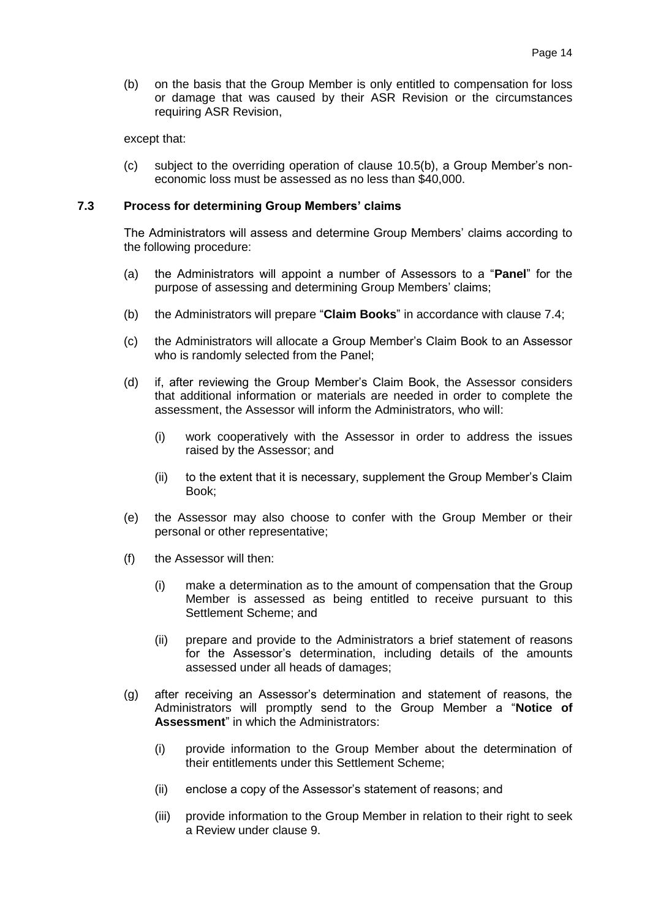(b) on the basis that the Group Member is only entitled to compensation for loss or damage that was caused by their ASR Revision or the circumstances requiring ASR Revision,

except that:

<span id="page-13-1"></span>(c) subject to the overriding operation of clause [10.5\(b\),](#page-22-2) a Group Member's noneconomic loss must be assessed as no less than \$40,000.

#### <span id="page-13-4"></span>**7.3 Process for determining Group Members' claims**

The Administrators will assess and determine Group Members' claims according to the following procedure:

- <span id="page-13-2"></span>(a) the Administrators will appoint a number of Assessors to a "**Panel**" for the purpose of assessing and determining Group Members' claims;
- (b) the Administrators will prepare "**Claim Books**" in accordance with clause [7.4;](#page-14-0)
- (c) the Administrators will allocate a Group Member's Claim Book to an Assessor who is randomly selected from the Panel;
- (d) if, after reviewing the Group Member's Claim Book, the Assessor considers that additional information or materials are needed in order to complete the assessment, the Assessor will inform the Administrators, who will:
	- (i) work cooperatively with the Assessor in order to address the issues raised by the Assessor; and
	- (ii) to the extent that it is necessary, supplement the Group Member's Claim Book;
- (e) the Assessor may also choose to confer with the Group Member or their personal or other representative;
- <span id="page-13-3"></span>(f) the Assessor will then:
	- (i) make a determination as to the amount of compensation that the Group Member is assessed as being entitled to receive pursuant to this Settlement Scheme; and
	- (ii) prepare and provide to the Administrators a brief statement of reasons for the Assessor's determination, including details of the amounts assessed under all heads of damages;
- <span id="page-13-0"></span>(g) after receiving an Assessor's determination and statement of reasons, the Administrators will promptly send to the Group Member a "**Notice of Assessment**" in which the Administrators:
	- (i) provide information to the Group Member about the determination of their entitlements under this Settlement Scheme;
	- (ii) enclose a copy of the Assessor's statement of reasons; and
	- (iii) provide information to the Group Member in relation to their right to seek a Review under clause [9.](#page-18-0)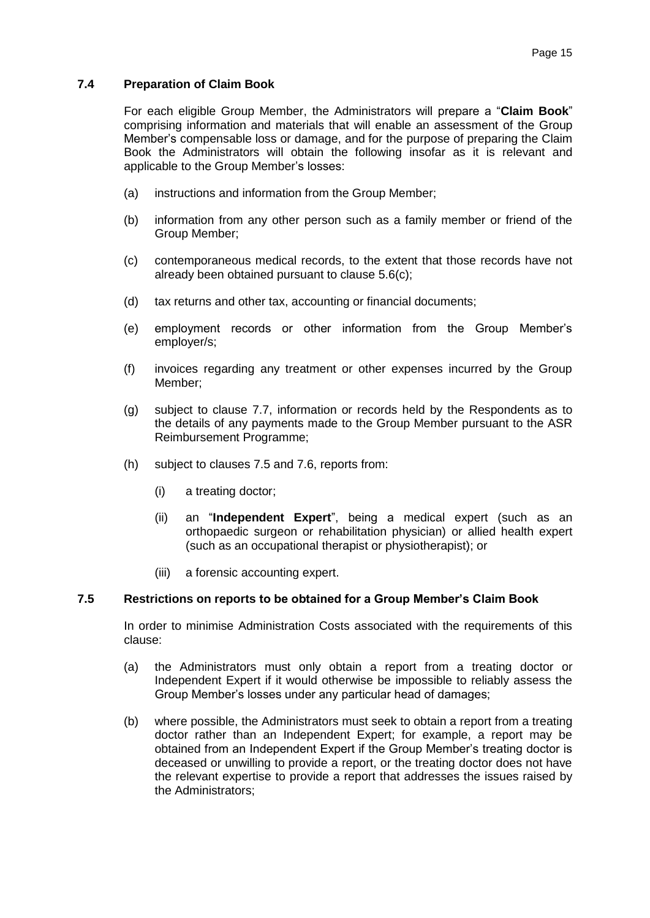#### <span id="page-14-0"></span>**7.4 Preparation of Claim Book**

For each eligible Group Member, the Administrators will prepare a "**Claim Book**" comprising information and materials that will enable an assessment of the Group Member's compensable loss or damage, and for the purpose of preparing the Claim Book the Administrators will obtain the following insofar as it is relevant and applicable to the Group Member's losses:

- (a) instructions and information from the Group Member;
- (b) information from any other person such as a family member or friend of the Group Member;
- (c) contemporaneous medical records, to the extent that those records have not already been obtained pursuant to clause [5.6\(c\);](#page-9-2)
- (d) tax returns and other tax, accounting or financial documents;
- (e) employment records or other information from the Group Member's employer/s;
- (f) invoices regarding any treatment or other expenses incurred by the Group Member;
- <span id="page-14-3"></span>(g) subject to clause [7.7,](#page-15-1) information or records held by the Respondents as to the details of any payments made to the Group Member pursuant to the ASR Reimbursement Programme;
- <span id="page-14-4"></span><span id="page-14-2"></span>(h) subject to clauses [7.5](#page-14-1) and [7.6,](#page-15-0) reports from:
	- (i) a treating doctor;
	- (ii) an "**Independent Expert**", being a medical expert (such as an orthopaedic surgeon or rehabilitation physician) or allied health expert (such as an occupational therapist or physiotherapist); or
	- (iii) a forensic accounting expert.

#### <span id="page-14-1"></span>**7.5 Restrictions on reports to be obtained for a Group Member's Claim Book**

In order to minimise Administration Costs associated with the requirements of this clause:

- (a) the Administrators must only obtain a report from a treating doctor or Independent Expert if it would otherwise be impossible to reliably assess the Group Member's losses under any particular head of damages;
- (b) where possible, the Administrators must seek to obtain a report from a treating doctor rather than an Independent Expert; for example, a report may be obtained from an Independent Expert if the Group Member's treating doctor is deceased or unwilling to provide a report, or the treating doctor does not have the relevant expertise to provide a report that addresses the issues raised by the Administrators;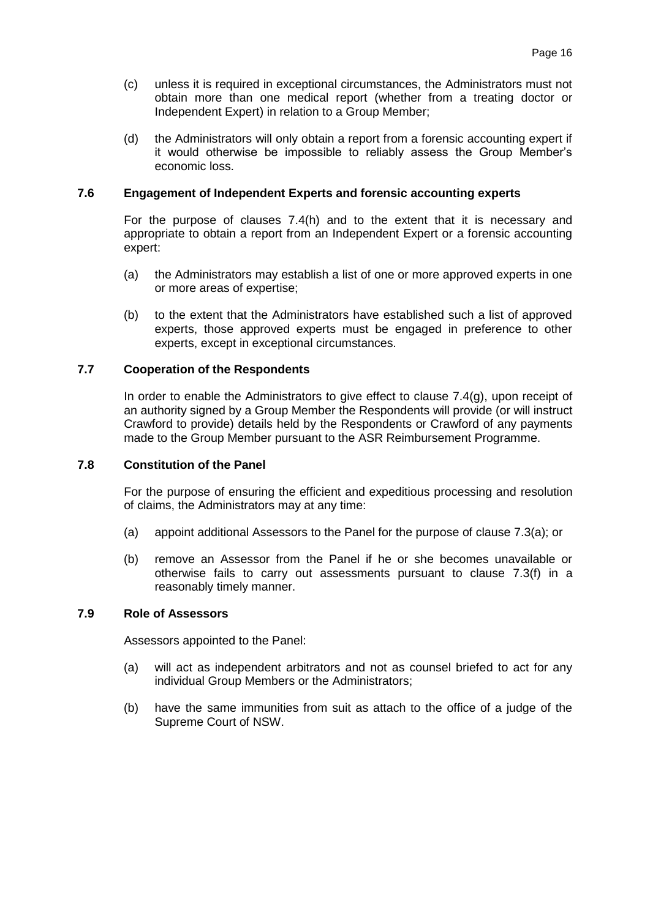- (c) unless it is required in exceptional circumstances, the Administrators must not obtain more than one medical report (whether from a treating doctor or Independent Expert) in relation to a Group Member;
- (d) the Administrators will only obtain a report from a forensic accounting expert if it would otherwise be impossible to reliably assess the Group Member's economic loss.

#### <span id="page-15-0"></span>**7.6 Engagement of Independent Experts and forensic accounting experts**

For the purpose of clauses [7.4\(h\)](#page-14-2) and to the extent that it is necessary and appropriate to obtain a report from an Independent Expert or a forensic accounting expert:

- (a) the Administrators may establish a list of one or more approved experts in one or more areas of expertise;
- (b) to the extent that the Administrators have established such a list of approved experts, those approved experts must be engaged in preference to other experts, except in exceptional circumstances.

#### <span id="page-15-1"></span>**7.7 Cooperation of the Respondents**

In order to enable the Administrators to give effect to clause [7.4\(g\),](#page-14-3) upon receipt of an authority signed by a Group Member the Respondents will provide (or will instruct Crawford to provide) details held by the Respondents or Crawford of any payments made to the Group Member pursuant to the ASR Reimbursement Programme.

#### **7.8 Constitution of the Panel**

For the purpose of ensuring the efficient and expeditious processing and resolution of claims, the Administrators may at any time:

- (a) appoint additional Assessors to the Panel for the purpose of clause [7.3\(a\);](#page-13-2) or
- (b) remove an Assessor from the Panel if he or she becomes unavailable or otherwise fails to carry out assessments pursuant to clause [7.3\(f\)](#page-13-3) in a reasonably timely manner.

#### **7.9 Role of Assessors**

Assessors appointed to the Panel:

- (a) will act as independent arbitrators and not as counsel briefed to act for any individual Group Members or the Administrators;
- (b) have the same immunities from suit as attach to the office of a judge of the Supreme Court of NSW.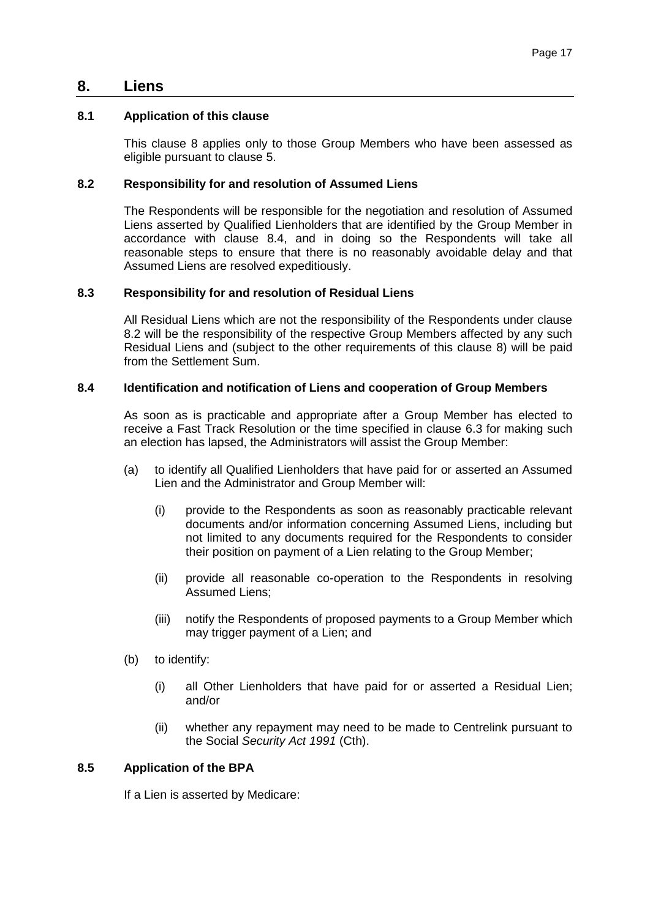# <span id="page-16-0"></span>**8. Liens**

#### **8.1 Application of this clause**

This clause [8](#page-16-0) applies only to those Group Members who have been assessed as eligible pursuant to clause [5.](#page-6-0)

#### <span id="page-16-2"></span>**8.2 Responsibility for and resolution of Assumed Liens**

The Respondents will be responsible for the negotiation and resolution of Assumed Liens asserted by Qualified Lienholders that are identified by the Group Member in accordance with clause [8.4,](#page-16-1) and in doing so the Respondents will take all reasonable steps to ensure that there is no reasonably avoidable delay and that Assumed Liens are resolved expeditiously.

#### **8.3 Responsibility for and resolution of Residual Liens**

All Residual Liens which are not the responsibility of the Respondents under clause [8.2](#page-16-2) will be the responsibility of the respective Group Members affected by any such Residual Liens and (subject to the other requirements of this clause [8\)](#page-16-0) will be paid from the Settlement Sum.

#### <span id="page-16-1"></span>**8.4 Identification and notification of Liens and cooperation of Group Members**

As soon as is practicable and appropriate after a Group Member has elected to receive a Fast Track Resolution or the time specified in clause [6.3](#page-11-2) for making such an election has lapsed, the Administrators will assist the Group Member:

- (a) to identify all Qualified Lienholders that have paid for or asserted an Assumed Lien and the Administrator and Group Member will:
	- (i) provide to the Respondents as soon as reasonably practicable relevant documents and/or information concerning Assumed Liens, including but not limited to any documents required for the Respondents to consider their position on payment of a Lien relating to the Group Member;
	- (ii) provide all reasonable co-operation to the Respondents in resolving Assumed Liens;
	- (iii) notify the Respondents of proposed payments to a Group Member which may trigger payment of a Lien; and
- (b) to identify:
	- (i) all Other Lienholders that have paid for or asserted a Residual Lien; and/or
	- (ii) whether any repayment may need to be made to Centrelink pursuant to the Social *Security Act 1991* (Cth).

#### **8.5 Application of the BPA**

If a Lien is asserted by Medicare: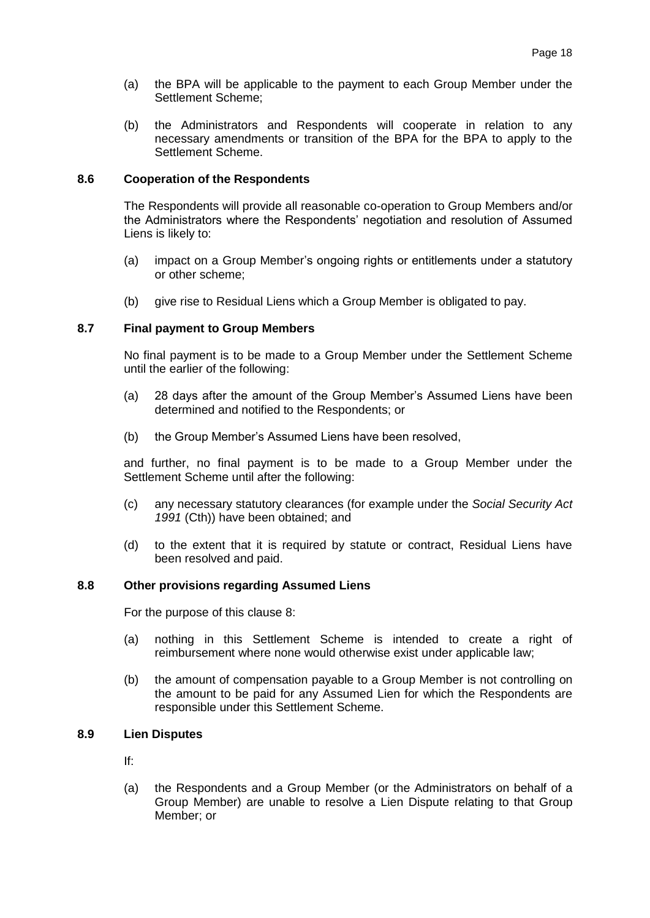- (a) the BPA will be applicable to the payment to each Group Member under the Settlement Scheme;
- (b) the Administrators and Respondents will cooperate in relation to any necessary amendments or transition of the BPA for the BPA to apply to the Settlement Scheme.

#### **8.6 Cooperation of the Respondents**

The Respondents will provide all reasonable co-operation to Group Members and/or the Administrators where the Respondents' negotiation and resolution of Assumed Liens is likely to:

- (a) impact on a Group Member's ongoing rights or entitlements under a statutory or other scheme;
- (b) give rise to Residual Liens which a Group Member is obligated to pay.

#### **8.7 Final payment to Group Members**

No final payment is to be made to a Group Member under the Settlement Scheme until the earlier of the following:

- (a) 28 days after the amount of the Group Member's Assumed Liens have been determined and notified to the Respondents; or
- (b) the Group Member's Assumed Liens have been resolved,

and further, no final payment is to be made to a Group Member under the Settlement Scheme until after the following:

- (c) any necessary statutory clearances (for example under the *Social Security Act 1991* (Cth)) have been obtained; and
- (d) to the extent that it is required by statute or contract, Residual Liens have been resolved and paid.

#### **8.8 Other provisions regarding Assumed Liens**

For the purpose of this clause [8:](#page-16-0)

- (a) nothing in this Settlement Scheme is intended to create a right of reimbursement where none would otherwise exist under applicable law;
- (b) the amount of compensation payable to a Group Member is not controlling on the amount to be paid for any Assumed Lien for which the Respondents are responsible under this Settlement Scheme.

### **8.9 Lien Disputes**

If:

(a) the Respondents and a Group Member (or the Administrators on behalf of a Group Member) are unable to resolve a Lien Dispute relating to that Group Member; or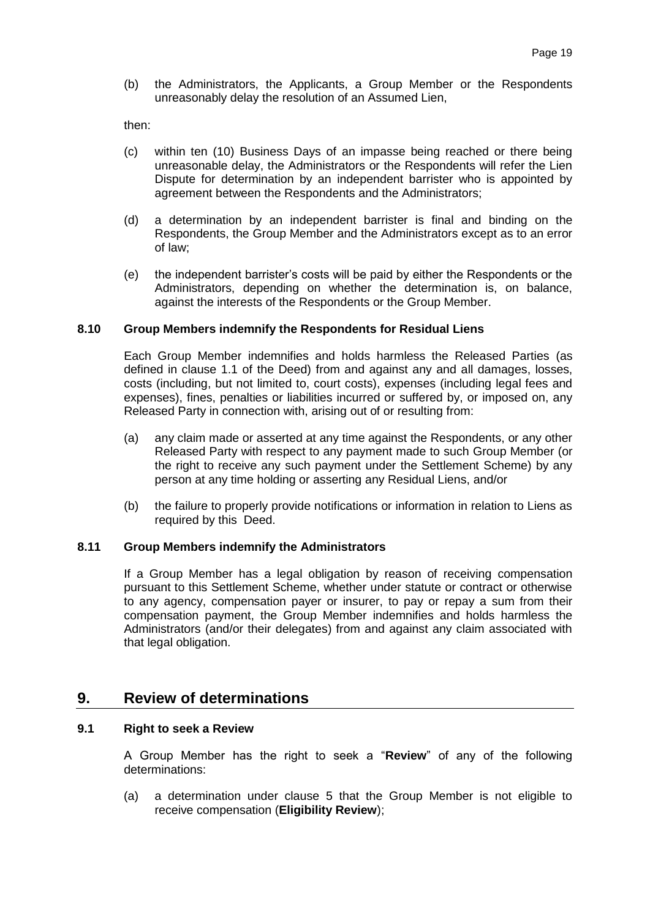(b) the Administrators, the Applicants, a Group Member or the Respondents unreasonably delay the resolution of an Assumed Lien,

then:

- (c) within ten (10) Business Days of an impasse being reached or there being unreasonable delay, the Administrators or the Respondents will refer the Lien Dispute for determination by an independent barrister who is appointed by agreement between the Respondents and the Administrators;
- (d) a determination by an independent barrister is final and binding on the Respondents, the Group Member and the Administrators except as to an error of law;
- (e) the independent barrister's costs will be paid by either the Respondents or the Administrators, depending on whether the determination is, on balance, against the interests of the Respondents or the Group Member.

#### **8.10 Group Members indemnify the Respondents for Residual Liens**

Each Group Member indemnifies and holds harmless the Released Parties (as defined in clause 1.1 of the Deed) from and against any and all damages, losses, costs (including, but not limited to, court costs), expenses (including legal fees and expenses), fines, penalties or liabilities incurred or suffered by, or imposed on, any Released Party in connection with, arising out of or resulting from:

- (a) any claim made or asserted at any time against the Respondents, or any other Released Party with respect to any payment made to such Group Member (or the right to receive any such payment under the Settlement Scheme) by any person at any time holding or asserting any Residual Liens, and/or
- (b) the failure to properly provide notifications or information in relation to Liens as required by this Deed.

#### **8.11 Group Members indemnify the Administrators**

If a Group Member has a legal obligation by reason of receiving compensation pursuant to this Settlement Scheme, whether under statute or contract or otherwise to any agency, compensation payer or insurer, to pay or repay a sum from their compensation payment, the Group Member indemnifies and holds harmless the Administrators (and/or their delegates) from and against any claim associated with that legal obligation.

# <span id="page-18-0"></span>**9. Review of determinations**

#### <span id="page-18-1"></span>**9.1 Right to seek a Review**

A Group Member has the right to seek a "**Review**" of any of the following determinations:

(a) a determination under clause [5](#page-6-0) that the Group Member is not eligible to receive compensation (**Eligibility Review**);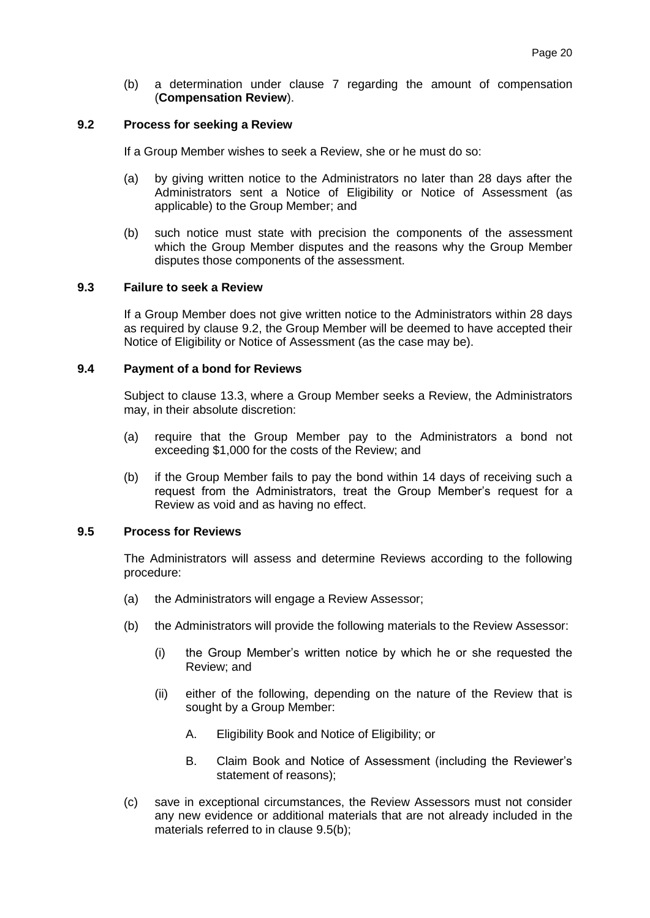(b) a determination under clause [7](#page-12-0) regarding the amount of compensation (**Compensation Review**).

#### <span id="page-19-1"></span>**9.2 Process for seeking a Review**

If a Group Member wishes to seek a Review, she or he must do so:

- (a) by giving written notice to the Administrators no later than 28 days after the Administrators sent a Notice of Eligibility or Notice of Assessment (as applicable) to the Group Member; and
- (b) such notice must state with precision the components of the assessment which the Group Member disputes and the reasons why the Group Member disputes those components of the assessment.

#### **9.3 Failure to seek a Review**

If a Group Member does not give written notice to the Administrators within 28 days as required by clause [9.2,](#page-19-1) the Group Member will be deemed to have accepted their Notice of Eligibility or Notice of Assessment (as the case may be).

#### <span id="page-19-0"></span>**9.4 Payment of a bond for Reviews**

Subject to clause [13.3,](#page-26-0) where a Group Member seeks a Review, the Administrators may, in their absolute discretion:

- (a) require that the Group Member pay to the Administrators a bond not exceeding \$1,000 for the costs of the Review; and
- (b) if the Group Member fails to pay the bond within 14 days of receiving such a request from the Administrators, treat the Group Member's request for a Review as void and as having no effect.

#### <span id="page-19-2"></span>**9.5 Process for Reviews**

The Administrators will assess and determine Reviews according to the following procedure:

- <span id="page-19-3"></span>(a) the Administrators will engage a Review Assessor;
- (b) the Administrators will provide the following materials to the Review Assessor:
	- (i) the Group Member's written notice by which he or she requested the Review; and
	- (ii) either of the following, depending on the nature of the Review that is sought by a Group Member:
		- A. Eligibility Book and Notice of Eligibility; or
		- B. Claim Book and Notice of Assessment (including the Reviewer's statement of reasons);
- (c) save in exceptional circumstances, the Review Assessors must not consider any new evidence or additional materials that are not already included in the materials referred to in clause [9.5\(b\);](#page-19-2)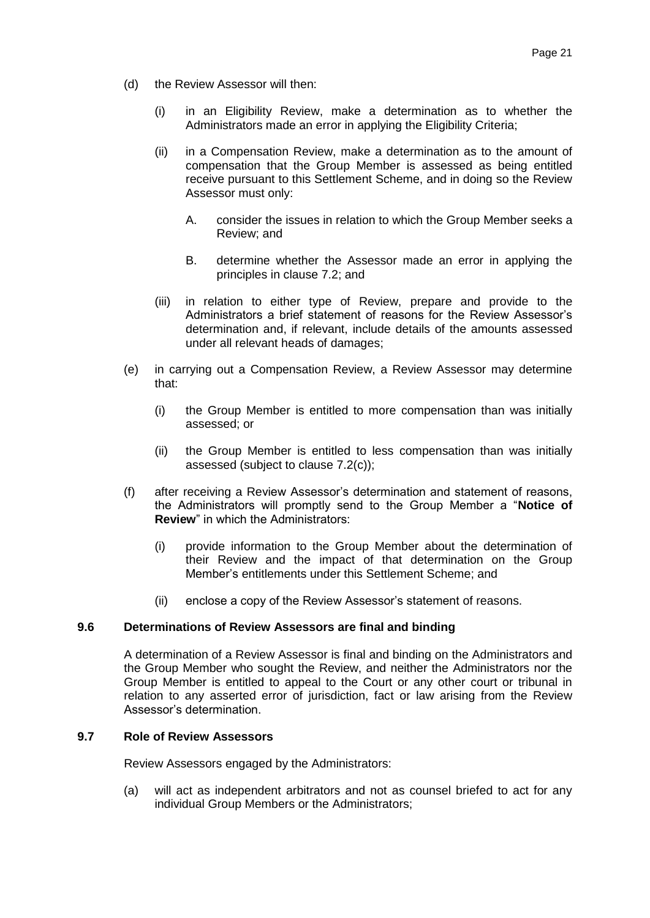- (d) the Review Assessor will then:
	- (i) in an Eligibility Review, make a determination as to whether the Administrators made an error in applying the Eligibility Criteria;
	- (ii) in a Compensation Review, make a determination as to the amount of compensation that the Group Member is assessed as being entitled receive pursuant to this Settlement Scheme, and in doing so the Review Assessor must only:
		- A. consider the issues in relation to which the Group Member seeks a Review; and
		- B. determine whether the Assessor made an error in applying the principles in clause [7.2;](#page-12-1) and
	- (iii) in relation to either type of Review, prepare and provide to the Administrators a brief statement of reasons for the Review Assessor's determination and, if relevant, include details of the amounts assessed under all relevant heads of damages;
- (e) in carrying out a Compensation Review, a Review Assessor may determine that:
	- (i) the Group Member is entitled to more compensation than was initially assessed; or
	- (ii) the Group Member is entitled to less compensation than was initially assessed (subject to clause [7.2\(c\)\)](#page-13-1);
- <span id="page-20-0"></span>(f) after receiving a Review Assessor's determination and statement of reasons, the Administrators will promptly send to the Group Member a "**Notice of Review**" in which the Administrators:
	- (i) provide information to the Group Member about the determination of their Review and the impact of that determination on the Group Member's entitlements under this Settlement Scheme; and
	- (ii) enclose a copy of the Review Assessor's statement of reasons.

#### **9.6 Determinations of Review Assessors are final and binding**

A determination of a Review Assessor is final and binding on the Administrators and the Group Member who sought the Review, and neither the Administrators nor the Group Member is entitled to appeal to the Court or any other court or tribunal in relation to any asserted error of jurisdiction, fact or law arising from the Review Assessor's determination.

#### **9.7 Role of Review Assessors**

Review Assessors engaged by the Administrators:

(a) will act as independent arbitrators and not as counsel briefed to act for any individual Group Members or the Administrators;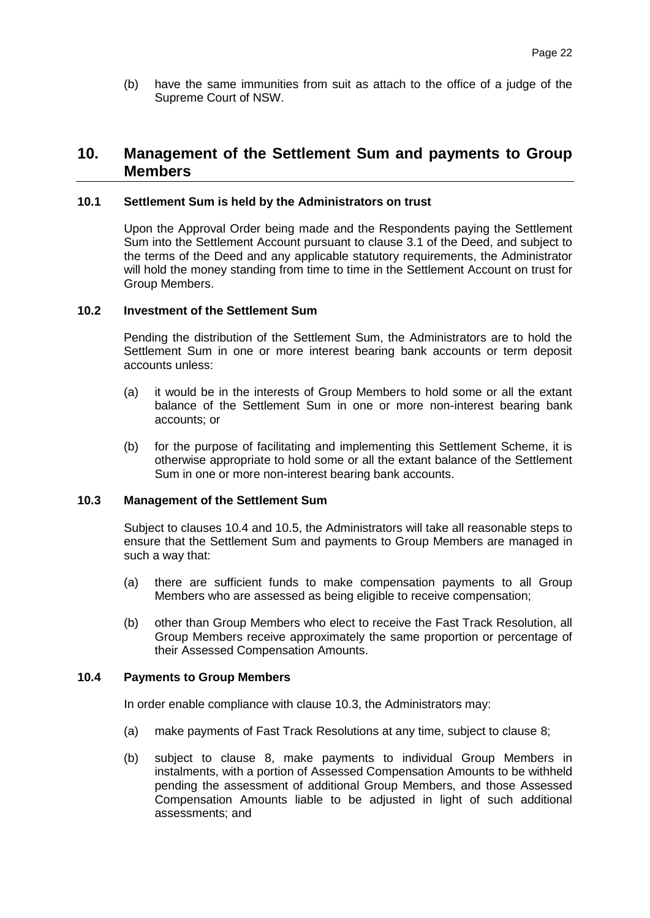(b) have the same immunities from suit as attach to the office of a judge of the Supreme Court of NSW.

# **10. Management of the Settlement Sum and payments to Group Members**

#### **10.1 Settlement Sum is held by the Administrators on trust**

Upon the Approval Order being made and the Respondents paying the Settlement Sum into the Settlement Account pursuant to clause 3.1 of the Deed, and subject to the terms of the Deed and any applicable statutory requirements, the Administrator will hold the money standing from time to time in the Settlement Account on trust for Group Members.

#### **10.2 Investment of the Settlement Sum**

Pending the distribution of the Settlement Sum, the Administrators are to hold the Settlement Sum in one or more interest bearing bank accounts or term deposit accounts unless:

- (a) it would be in the interests of Group Members to hold some or all the extant balance of the Settlement Sum in one or more non-interest bearing bank accounts; or
- (b) for the purpose of facilitating and implementing this Settlement Scheme, it is otherwise appropriate to hold some or all the extant balance of the Settlement Sum in one or more non-interest bearing bank accounts.

#### <span id="page-21-1"></span>**10.3 Management of the Settlement Sum**

Subject to clauses [10.4](#page-21-0) and [10.5,](#page-22-3) the Administrators will take all reasonable steps to ensure that the Settlement Sum and payments to Group Members are managed in such a way that:

- (a) there are sufficient funds to make compensation payments to all Group Members who are assessed as being eligible to receive compensation;
- (b) other than Group Members who elect to receive the Fast Track Resolution, all Group Members receive approximately the same proportion or percentage of their Assessed Compensation Amounts.

#### <span id="page-21-0"></span>**10.4 Payments to Group Members**

In order enable compliance with clause [10.3,](#page-21-1) the Administrators may:

- (a) make payments of Fast Track Resolutions at any time, subject to clause [8;](#page-16-0)
- (b) subject to clause [8,](#page-16-0) make payments to individual Group Members in instalments, with a portion of Assessed Compensation Amounts to be withheld pending the assessment of additional Group Members, and those Assessed Compensation Amounts liable to be adjusted in light of such additional assessments; and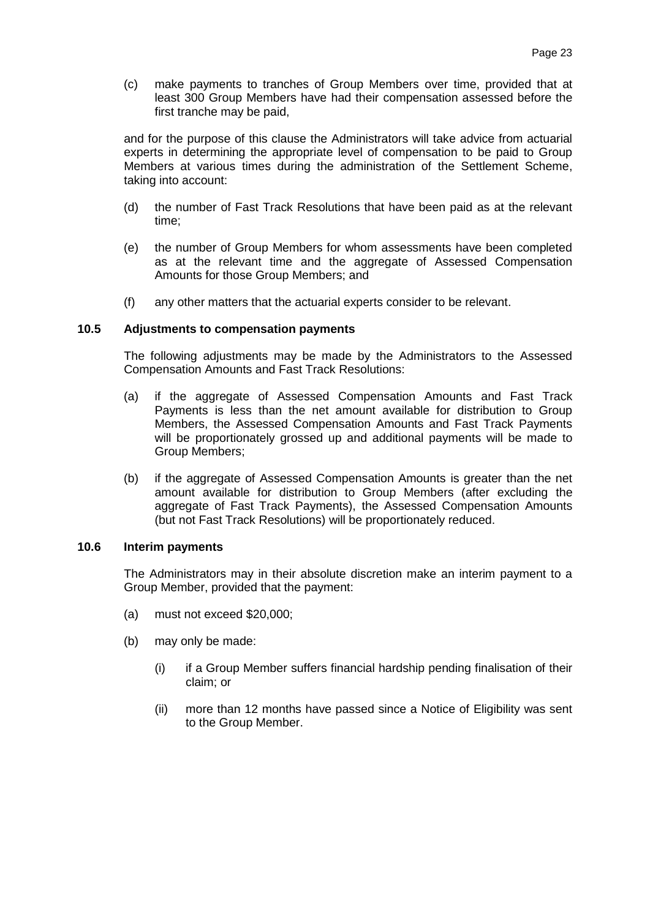(c) make payments to tranches of Group Members over time, provided that at least 300 Group Members have had their compensation assessed before the first tranche may be paid,

and for the purpose of this clause the Administrators will take advice from actuarial experts in determining the appropriate level of compensation to be paid to Group Members at various times during the administration of the Settlement Scheme, taking into account:

- (d) the number of Fast Track Resolutions that have been paid as at the relevant time;
- (e) the number of Group Members for whom assessments have been completed as at the relevant time and the aggregate of Assessed Compensation Amounts for those Group Members; and
- (f) any other matters that the actuarial experts consider to be relevant.

#### <span id="page-22-3"></span>**10.5 Adjustments to compensation payments**

The following adjustments may be made by the Administrators to the Assessed Compensation Amounts and Fast Track Resolutions:

- <span id="page-22-1"></span>(a) if the aggregate of Assessed Compensation Amounts and Fast Track Payments is less than the net amount available for distribution to Group Members, the Assessed Compensation Amounts and Fast Track Payments will be proportionately grossed up and additional payments will be made to Group Members;
- <span id="page-22-2"></span>(b) if the aggregate of Assessed Compensation Amounts is greater than the net amount available for distribution to Group Members (after excluding the aggregate of Fast Track Payments), the Assessed Compensation Amounts (but not Fast Track Resolutions) will be proportionately reduced.

#### <span id="page-22-0"></span>**10.6 Interim payments**

The Administrators may in their absolute discretion make an interim payment to a Group Member, provided that the payment:

- (a) must not exceed \$20,000;
- (b) may only be made:
	- (i) if a Group Member suffers financial hardship pending finalisation of their claim; or
	- (ii) more than 12 months have passed since a Notice of Eligibility was sent to the Group Member.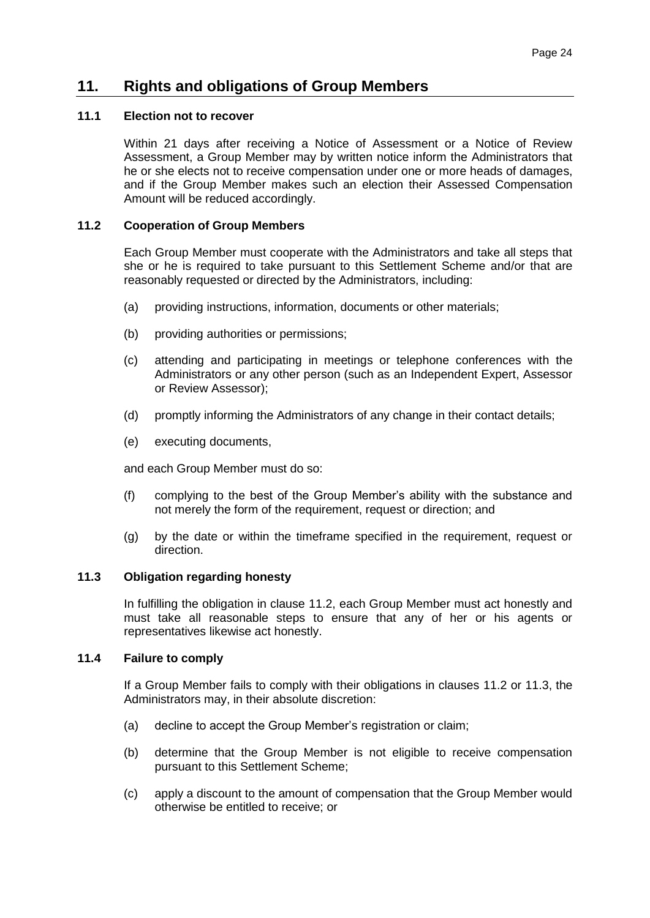# **11. Rights and obligations of Group Members**

# <span id="page-23-3"></span>**11.1 Election not to recover**

Within 21 days after receiving a Notice of Assessment or a Notice of Review Assessment, a Group Member may by written notice inform the Administrators that he or she elects not to receive compensation under one or more heads of damages, and if the Group Member makes such an election their Assessed Compensation Amount will be reduced accordingly.

#### <span id="page-23-1"></span>**11.2 Cooperation of Group Members**

Each Group Member must cooperate with the Administrators and take all steps that she or he is required to take pursuant to this Settlement Scheme and/or that are reasonably requested or directed by the Administrators, including:

- (a) providing instructions, information, documents or other materials;
- (b) providing authorities or permissions;
- (c) attending and participating in meetings or telephone conferences with the Administrators or any other person (such as an Independent Expert, Assessor or Review Assessor);
- (d) promptly informing the Administrators of any change in their contact details;
- (e) executing documents,

and each Group Member must do so:

- (f) complying to the best of the Group Member's ability with the substance and not merely the form of the requirement, request or direction; and
- (g) by the date or within the timeframe specified in the requirement, request or direction.

#### <span id="page-23-2"></span>**11.3 Obligation regarding honesty**

In fulfilling the obligation in clause [11.2,](#page-23-1) each Group Member must act honestly and must take all reasonable steps to ensure that any of her or his agents or representatives likewise act honestly.

#### <span id="page-23-0"></span>**11.4 Failure to comply**

If a Group Member fails to comply with their obligations in clauses [11.2](#page-23-1) or [11.3,](#page-23-2) the Administrators may, in their absolute discretion:

- (a) decline to accept the Group Member's registration or claim;
- (b) determine that the Group Member is not eligible to receive compensation pursuant to this Settlement Scheme;
- (c) apply a discount to the amount of compensation that the Group Member would otherwise be entitled to receive; or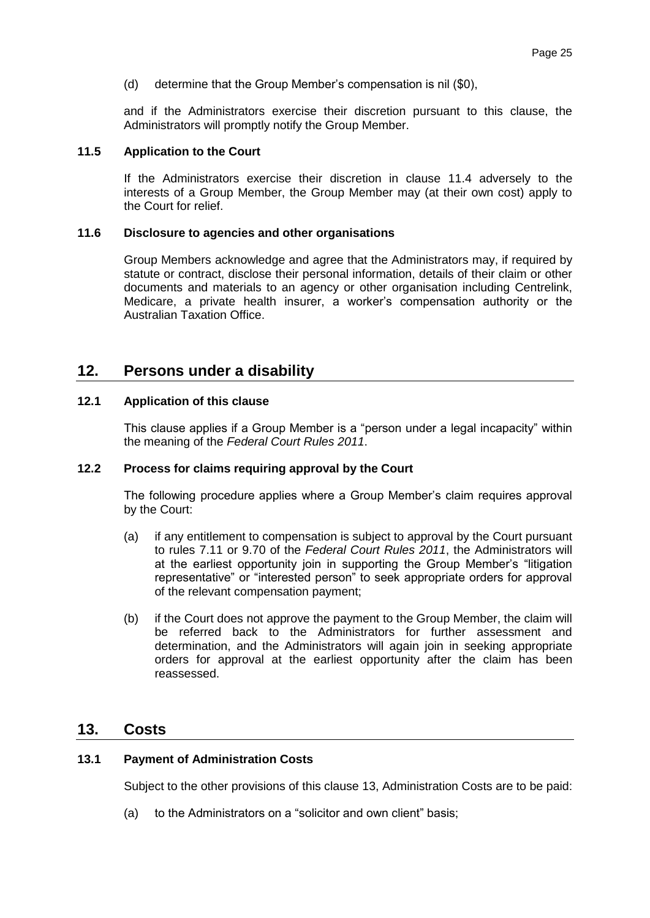(d) determine that the Group Member's compensation is nil (\$0),

and if the Administrators exercise their discretion pursuant to this clause, the Administrators will promptly notify the Group Member.

#### **11.5 Application to the Court**

If the Administrators exercise their discretion in clause [11.4](#page-23-0) adversely to the interests of a Group Member, the Group Member may (at their own cost) apply to the Court for relief.

#### **11.6 Disclosure to agencies and other organisations**

Group Members acknowledge and agree that the Administrators may, if required by statute or contract, disclose their personal information, details of their claim or other documents and materials to an agency or other organisation including Centrelink, Medicare, a private health insurer, a worker's compensation authority or the Australian Taxation Office.

### **12. Persons under a disability**

#### **12.1 Application of this clause**

This clause applies if a Group Member is a "person under a legal incapacity" within the meaning of the *Federal Court Rules 2011*.

#### **12.2 Process for claims requiring approval by the Court**

The following procedure applies where a Group Member's claim requires approval by the Court:

- (a) if any entitlement to compensation is subject to approval by the Court pursuant to rules 7.11 or 9.70 of the *Federal Court Rules 2011*, the Administrators will at the earliest opportunity join in supporting the Group Member's "litigation representative" or "interested person" to seek appropriate orders for approval of the relevant compensation payment;
- (b) if the Court does not approve the payment to the Group Member, the claim will be referred back to the Administrators for further assessment and determination, and the Administrators will again join in seeking appropriate orders for approval at the earliest opportunity after the claim has been reassessed.

### <span id="page-24-1"></span>**13. Costs**

#### <span id="page-24-0"></span>**13.1 Payment of Administration Costs**

Subject to the other provisions of this clause [13,](#page-24-1) Administration Costs are to be paid:

(a) to the Administrators on a "solicitor and own client" basis;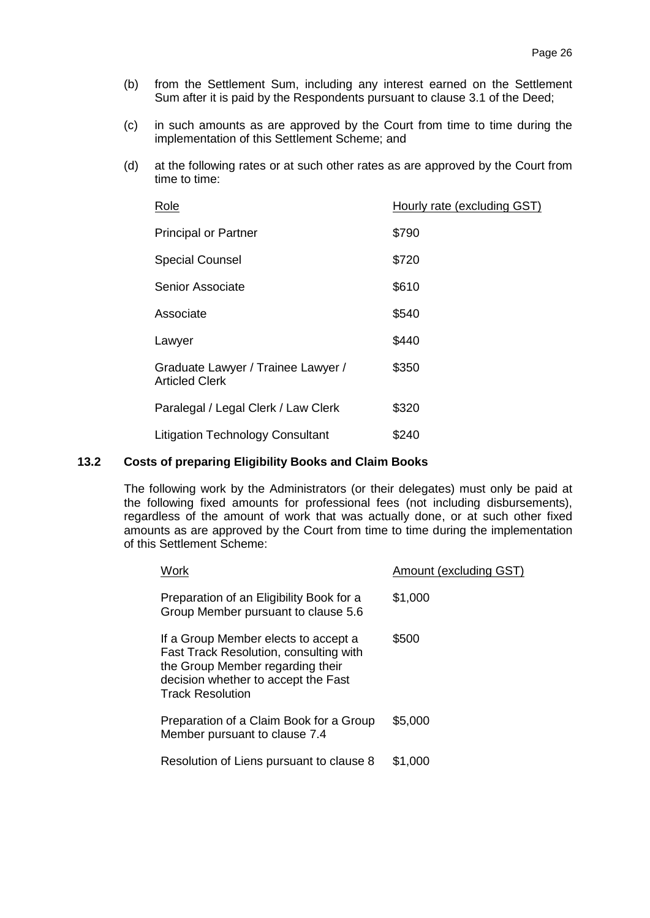- (b) from the Settlement Sum, including any interest earned on the Settlement Sum after it is paid by the Respondents pursuant to clause 3.1 of the Deed;
- (c) in such amounts as are approved by the Court from time to time during the implementation of this Settlement Scheme; and
- (d) at the following rates or at such other rates as are approved by the Court from time to time:

| Role                                                        | Hourly rate (excluding GST) |
|-------------------------------------------------------------|-----------------------------|
| <b>Principal or Partner</b>                                 | \$790                       |
| <b>Special Counsel</b>                                      | \$720                       |
| Senior Associate                                            | \$610                       |
| Associate                                                   | \$540                       |
| Lawyer                                                      | \$440                       |
| Graduate Lawyer / Trainee Lawyer /<br><b>Articled Clerk</b> | \$350                       |
| Paralegal / Legal Clerk / Law Clerk                         | \$320                       |
| <b>Litigation Technology Consultant</b>                     | \$240                       |

#### <span id="page-25-0"></span>**13.2 Costs of preparing Eligibility Books and Claim Books**

The following work by the Administrators (or their delegates) must only be paid at the following fixed amounts for professional fees (not including disbursements), regardless of the amount of work that was actually done, or at such other fixed amounts as are approved by the Court from time to time during the implementation of this Settlement Scheme:

| Work                                                                                                                                                                                 | Amount (excluding GST) |
|--------------------------------------------------------------------------------------------------------------------------------------------------------------------------------------|------------------------|
| Preparation of an Eligibility Book for a<br>Group Member pursuant to clause 5.6                                                                                                      | \$1,000                |
| If a Group Member elects to accept a<br>Fast Track Resolution, consulting with<br>the Group Member regarding their<br>decision whether to accept the Fast<br><b>Track Resolution</b> | \$500                  |
| Preparation of a Claim Book for a Group<br>Member pursuant to clause 7.4                                                                                                             | \$5,000                |
| Resolution of Liens pursuant to clause 8                                                                                                                                             | \$1.000                |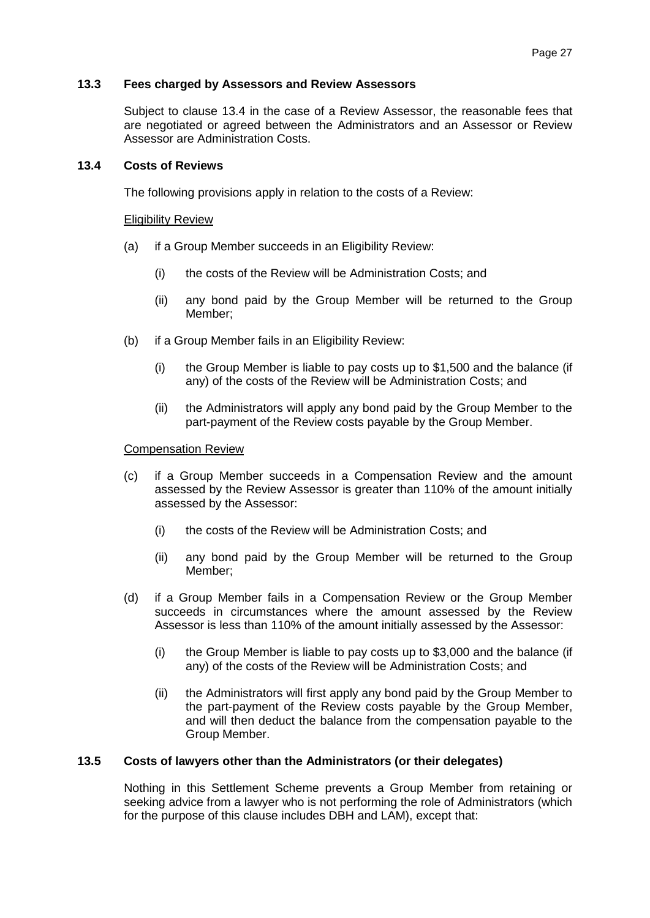#### <span id="page-26-0"></span>**13.3 Fees charged by Assessors and Review Assessors**

Subject to clause [13.4](#page-26-1) in the case of a Review Assessor, the reasonable fees that are negotiated or agreed between the Administrators and an Assessor or Review Assessor are Administration Costs.

#### <span id="page-26-1"></span>**13.4 Costs of Reviews**

The following provisions apply in relation to the costs of a Review:

#### Eligibility Review

- (a) if a Group Member succeeds in an Eligibility Review:
	- (i) the costs of the Review will be Administration Costs; and
	- (ii) any bond paid by the Group Member will be returned to the Group Member;
- (b) if a Group Member fails in an Eligibility Review:
	- (i) the Group Member is liable to pay costs up to \$1,500 and the balance (if any) of the costs of the Review will be Administration Costs; and
	- (ii) the Administrators will apply any bond paid by the Group Member to the part-payment of the Review costs payable by the Group Member.

#### Compensation Review

- (c) if a Group Member succeeds in a Compensation Review and the amount assessed by the Review Assessor is greater than 110% of the amount initially assessed by the Assessor:
	- (i) the costs of the Review will be Administration Costs; and
	- (ii) any bond paid by the Group Member will be returned to the Group Member;
- (d) if a Group Member fails in a Compensation Review or the Group Member succeeds in circumstances where the amount assessed by the Review Assessor is less than 110% of the amount initially assessed by the Assessor:
	- (i) the Group Member is liable to pay costs up to \$3,000 and the balance (if any) of the costs of the Review will be Administration Costs; and
	- (ii) the Administrators will first apply any bond paid by the Group Member to the part-payment of the Review costs payable by the Group Member, and will then deduct the balance from the compensation payable to the Group Member.

#### **13.5 Costs of lawyers other than the Administrators (or their delegates)**

Nothing in this Settlement Scheme prevents a Group Member from retaining or seeking advice from a lawyer who is not performing the role of Administrators (which for the purpose of this clause includes DBH and LAM), except that: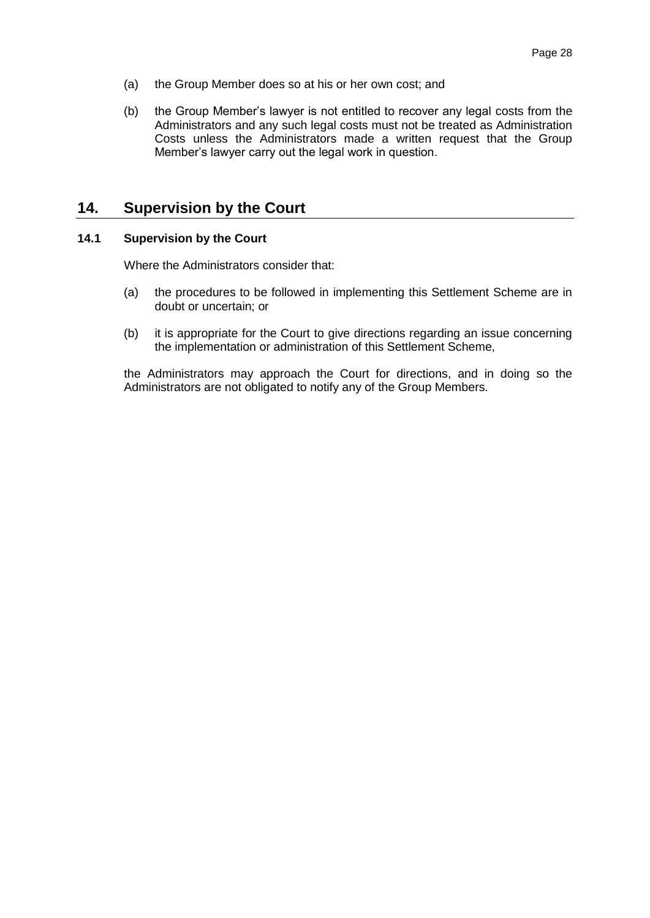- (a) the Group Member does so at his or her own cost; and
- (b) the Group Member's lawyer is not entitled to recover any legal costs from the Administrators and any such legal costs must not be treated as Administration Costs unless the Administrators made a written request that the Group Member's lawyer carry out the legal work in question.

# **14. Supervision by the Court**

#### **14.1 Supervision by the Court**

Where the Administrators consider that:

- (a) the procedures to be followed in implementing this Settlement Scheme are in doubt or uncertain; or
- (b) it is appropriate for the Court to give directions regarding an issue concerning the implementation or administration of this Settlement Scheme,

the Administrators may approach the Court for directions, and in doing so the Administrators are not obligated to notify any of the Group Members.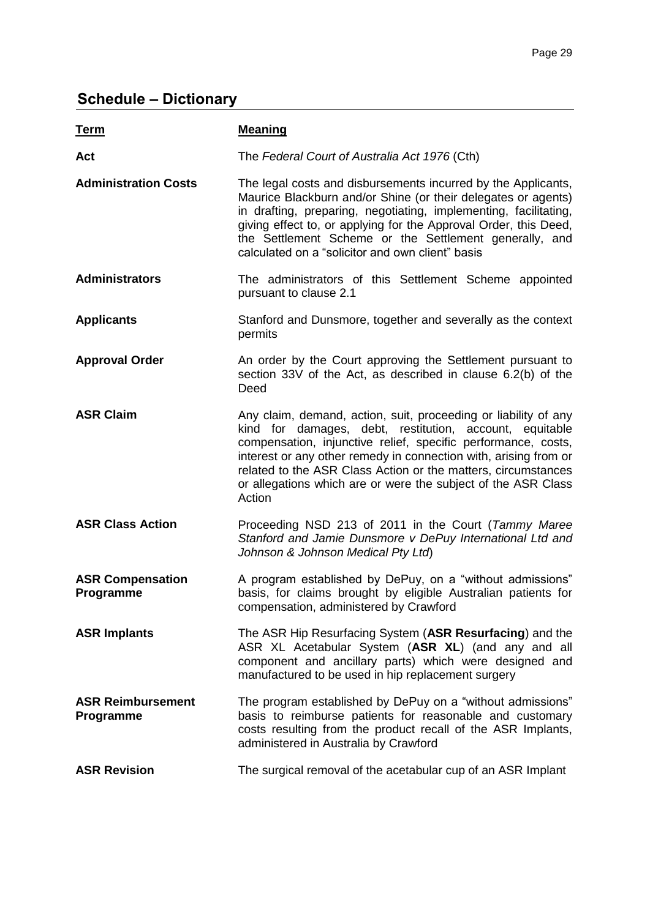# **Schedule – Dictionary**

| <u>Term</u>                           | <b>Meaning</b>                                                                                                                                                                                                                                                                                                                                                                                              |
|---------------------------------------|-------------------------------------------------------------------------------------------------------------------------------------------------------------------------------------------------------------------------------------------------------------------------------------------------------------------------------------------------------------------------------------------------------------|
| Act                                   | The Federal Court of Australia Act 1976 (Cth)                                                                                                                                                                                                                                                                                                                                                               |
| <b>Administration Costs</b>           | The legal costs and disbursements incurred by the Applicants,<br>Maurice Blackburn and/or Shine (or their delegates or agents)<br>in drafting, preparing, negotiating, implementing, facilitating,<br>giving effect to, or applying for the Approval Order, this Deed,<br>the Settlement Scheme or the Settlement generally, and<br>calculated on a "solicitor and own client" basis                        |
| <b>Administrators</b>                 | The administrators of this Settlement Scheme appointed<br>pursuant to clause 2.1                                                                                                                                                                                                                                                                                                                            |
| <b>Applicants</b>                     | Stanford and Dunsmore, together and severally as the context<br>permits                                                                                                                                                                                                                                                                                                                                     |
| <b>Approval Order</b>                 | An order by the Court approving the Settlement pursuant to<br>section 33V of the Act, as described in clause 6.2(b) of the<br>Deed                                                                                                                                                                                                                                                                          |
| <b>ASR Claim</b>                      | Any claim, demand, action, suit, proceeding or liability of any<br>kind for damages, debt, restitution, account, equitable<br>compensation, injunctive relief, specific performance, costs,<br>interest or any other remedy in connection with, arising from or<br>related to the ASR Class Action or the matters, circumstances<br>or allegations which are or were the subject of the ASR Class<br>Action |
| <b>ASR Class Action</b>               | Proceeding NSD 213 of 2011 in the Court (Tammy Maree<br>Stanford and Jamie Dunsmore v DePuy International Ltd and<br>Johnson & Johnson Medical Pty Ltd)                                                                                                                                                                                                                                                     |
| <b>ASR Compensation</b><br>Programme  | A program established by DePuy, on a "without admissions"<br>basis, for claims brought by eligible Australian patients for<br>compensation, administered by Crawford                                                                                                                                                                                                                                        |
| <b>ASR Implants</b>                   | The ASR Hip Resurfacing System (ASR Resurfacing) and the<br>ASR XL Acetabular System (ASR XL) (and any and all<br>component and ancillary parts) which were designed and<br>manufactured to be used in hip replacement surgery                                                                                                                                                                              |
| <b>ASR Reimbursement</b><br>Programme | The program established by DePuy on a "without admissions"<br>basis to reimburse patients for reasonable and customary<br>costs resulting from the product recall of the ASR Implants,<br>administered in Australia by Crawford                                                                                                                                                                             |
| <b>ASR Revision</b>                   | The surgical removal of the acetabular cup of an ASR Implant                                                                                                                                                                                                                                                                                                                                                |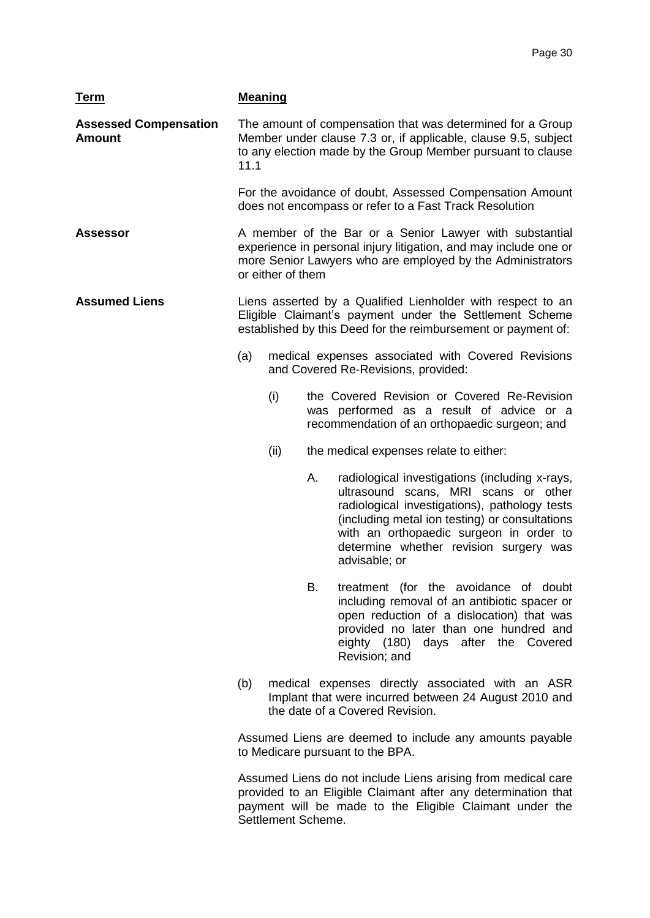| <u>Term</u>                                   | <b>Meaning</b> |                   |    |                                                                                                                                                                                                                                                                                                 |
|-----------------------------------------------|----------------|-------------------|----|-------------------------------------------------------------------------------------------------------------------------------------------------------------------------------------------------------------------------------------------------------------------------------------------------|
| <b>Assessed Compensation</b><br><b>Amount</b> | 11.1           |                   |    | The amount of compensation that was determined for a Group<br>Member under clause 7.3 or, if applicable, clause 9.5, subject<br>to any election made by the Group Member pursuant to clause                                                                                                     |
|                                               |                |                   |    | For the avoidance of doubt, Assessed Compensation Amount<br>does not encompass or refer to a Fast Track Resolution                                                                                                                                                                              |
| Assessor                                      |                | or either of them |    | A member of the Bar or a Senior Lawyer with substantial<br>experience in personal injury litigation, and may include one or<br>more Senior Lawyers who are employed by the Administrators                                                                                                       |
| <b>Assumed Liens</b>                          |                |                   |    | Liens asserted by a Qualified Lienholder with respect to an<br>Eligible Claimant's payment under the Settlement Scheme<br>established by this Deed for the reimbursement or payment of:                                                                                                         |
|                                               | (a)            |                   |    | medical expenses associated with Covered Revisions<br>and Covered Re-Revisions, provided:                                                                                                                                                                                                       |
|                                               |                | (i)               |    | the Covered Revision or Covered Re-Revision<br>was performed as a result of advice or a<br>recommendation of an orthopaedic surgeon; and                                                                                                                                                        |
|                                               |                | (ii)              |    | the medical expenses relate to either:                                                                                                                                                                                                                                                          |
|                                               |                |                   | А. | radiological investigations (including x-rays,<br>ultrasound scans, MRI scans or other<br>radiological investigations), pathology tests<br>(including metal ion testing) or consultations<br>with an orthopaedic surgeon in order to<br>determine whether revision surgery was<br>advisable; or |
|                                               |                |                   | В. | treatment (for the avoidance of doubt<br>including removal of an antibiotic spacer or<br>open reduction of a dislocation) that was<br>provided no later than one hundred and<br>eighty (180) days after the Covered<br>Revision; and                                                            |
|                                               | (b)            |                   |    | medical expenses directly associated with an ASR<br>Implant that were incurred between 24 August 2010 and<br>the date of a Covered Revision.                                                                                                                                                    |
|                                               |                |                   |    | Assumed Liens are deemed to include any amounts payable<br>to Medicare pursuant to the BPA.                                                                                                                                                                                                     |
|                                               |                |                   |    |                                                                                                                                                                                                                                                                                                 |

Assumed Liens do not include Liens arising from medical care provided to an Eligible Claimant after any determination that payment will be made to the Eligible Claimant under the Settlement Scheme.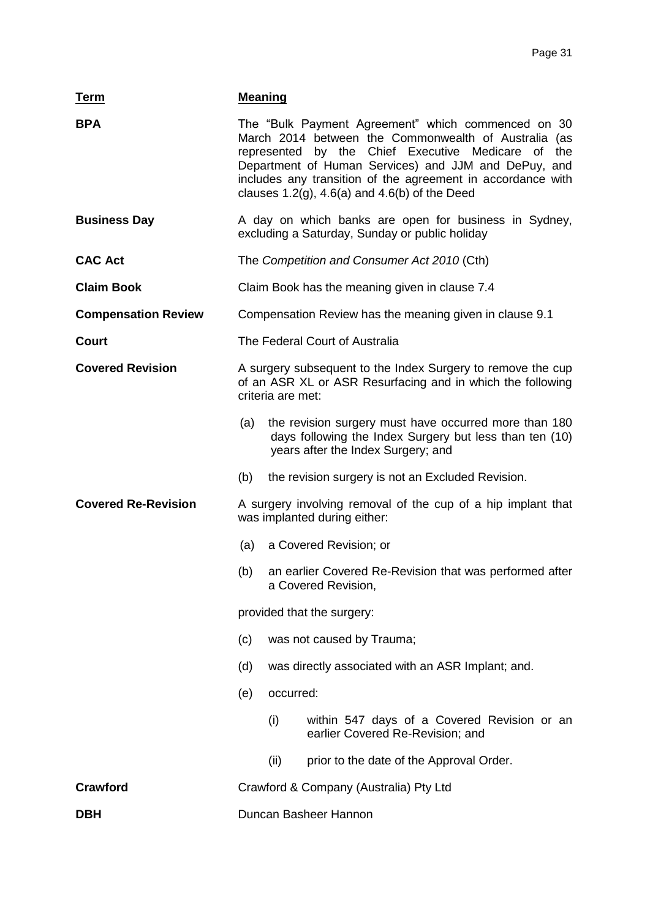| <b>Term</b>                | <b>Meaning</b>                                                                               |                                                                                |                                                                                                                                                                                                                                                                                                                                                 |  |  |
|----------------------------|----------------------------------------------------------------------------------------------|--------------------------------------------------------------------------------|-------------------------------------------------------------------------------------------------------------------------------------------------------------------------------------------------------------------------------------------------------------------------------------------------------------------------------------------------|--|--|
| <b>BPA</b>                 |                                                                                              |                                                                                | The "Bulk Payment Agreement" which commenced on 30<br>March 2014 between the Commonwealth of Australia (as<br>represented by the Chief Executive Medicare of the<br>Department of Human Services) and JJM and DePuy, and<br>includes any transition of the agreement in accordance with<br>clauses $1.2(g)$ , $4.6(a)$ and $4.6(b)$ of the Deed |  |  |
| <b>Business Day</b>        |                                                                                              |                                                                                | A day on which banks are open for business in Sydney,<br>excluding a Saturday, Sunday or public holiday                                                                                                                                                                                                                                         |  |  |
| <b>CAC Act</b>             |                                                                                              |                                                                                | The Competition and Consumer Act 2010 (Cth)                                                                                                                                                                                                                                                                                                     |  |  |
| <b>Claim Book</b>          |                                                                                              |                                                                                | Claim Book has the meaning given in clause 7.4                                                                                                                                                                                                                                                                                                  |  |  |
| <b>Compensation Review</b> | Compensation Review has the meaning given in clause 9.1                                      |                                                                                |                                                                                                                                                                                                                                                                                                                                                 |  |  |
| Court                      | The Federal Court of Australia                                                               |                                                                                |                                                                                                                                                                                                                                                                                                                                                 |  |  |
| <b>Covered Revision</b>    | criteria are met:                                                                            |                                                                                | A surgery subsequent to the Index Surgery to remove the cup<br>of an ASR XL or ASR Resurfacing and in which the following                                                                                                                                                                                                                       |  |  |
|                            | (a)                                                                                          |                                                                                | the revision surgery must have occurred more than 180<br>days following the Index Surgery but less than ten (10)<br>years after the Index Surgery; and                                                                                                                                                                                          |  |  |
|                            | (b)                                                                                          |                                                                                | the revision surgery is not an Excluded Revision.                                                                                                                                                                                                                                                                                               |  |  |
| <b>Covered Re-Revision</b> | A surgery involving removal of the cup of a hip implant that<br>was implanted during either: |                                                                                |                                                                                                                                                                                                                                                                                                                                                 |  |  |
|                            | a Covered Revision; or<br>(a)                                                                |                                                                                |                                                                                                                                                                                                                                                                                                                                                 |  |  |
|                            | (b)                                                                                          | an earlier Covered Re-Revision that was performed after<br>a Covered Revision, |                                                                                                                                                                                                                                                                                                                                                 |  |  |
|                            | provided that the surgery:                                                                   |                                                                                |                                                                                                                                                                                                                                                                                                                                                 |  |  |
| (c)                        |                                                                                              | was not caused by Trauma;                                                      |                                                                                                                                                                                                                                                                                                                                                 |  |  |
|                            | (d)                                                                                          |                                                                                | was directly associated with an ASR Implant; and.                                                                                                                                                                                                                                                                                               |  |  |
|                            | (e)                                                                                          | occurred:                                                                      |                                                                                                                                                                                                                                                                                                                                                 |  |  |
|                            |                                                                                              | (i)                                                                            | within 547 days of a Covered Revision or an<br>earlier Covered Re-Revision; and                                                                                                                                                                                                                                                                 |  |  |
|                            |                                                                                              | (ii)                                                                           | prior to the date of the Approval Order.                                                                                                                                                                                                                                                                                                        |  |  |
| <b>Crawford</b>            | Crawford & Company (Australia) Pty Ltd                                                       |                                                                                |                                                                                                                                                                                                                                                                                                                                                 |  |  |
| <b>DBH</b>                 |                                                                                              |                                                                                | Duncan Basheer Hannon                                                                                                                                                                                                                                                                                                                           |  |  |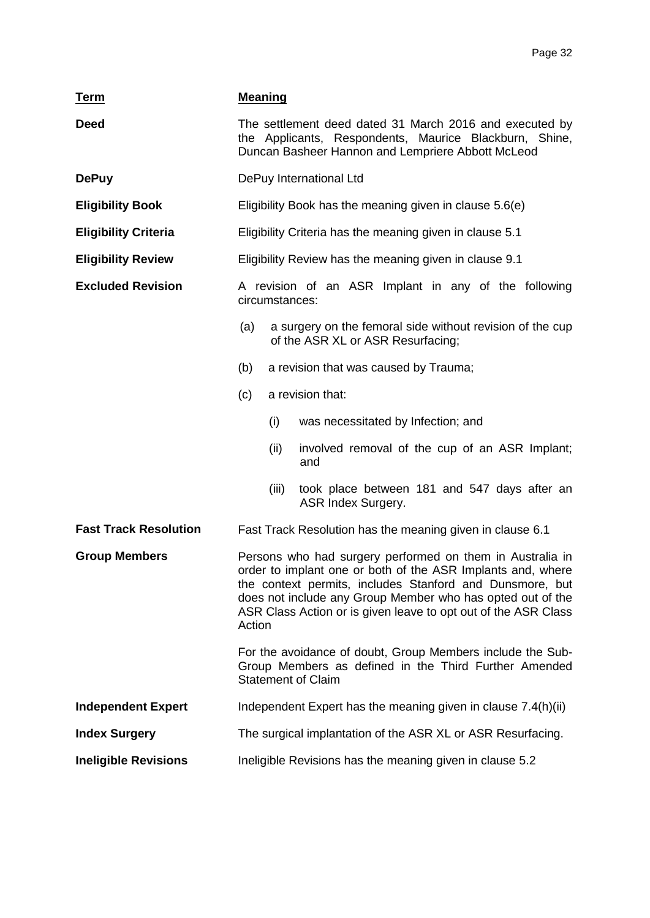| <b>Term</b>                  | <b>Meaning</b>                                                                                                                                                                                                                                                                                                                 |       |                                                                                                |
|------------------------------|--------------------------------------------------------------------------------------------------------------------------------------------------------------------------------------------------------------------------------------------------------------------------------------------------------------------------------|-------|------------------------------------------------------------------------------------------------|
| <b>Deed</b>                  | The settlement deed dated 31 March 2016 and executed by<br>the Applicants, Respondents, Maurice Blackburn, Shine,<br>Duncan Basheer Hannon and Lempriere Abbott McLeod                                                                                                                                                         |       |                                                                                                |
| <b>DePuy</b>                 |                                                                                                                                                                                                                                                                                                                                |       | DePuy International Ltd                                                                        |
| <b>Eligibility Book</b>      |                                                                                                                                                                                                                                                                                                                                |       | Eligibility Book has the meaning given in clause 5.6(e)                                        |
| <b>Eligibility Criteria</b>  |                                                                                                                                                                                                                                                                                                                                |       | Eligibility Criteria has the meaning given in clause 5.1                                       |
| <b>Eligibility Review</b>    |                                                                                                                                                                                                                                                                                                                                |       | Eligibility Review has the meaning given in clause 9.1                                         |
| <b>Excluded Revision</b>     | A revision of an ASR Implant in any of the following<br>circumstances:                                                                                                                                                                                                                                                         |       |                                                                                                |
|                              | (a)                                                                                                                                                                                                                                                                                                                            |       | a surgery on the femoral side without revision of the cup<br>of the ASR XL or ASR Resurfacing; |
|                              | (b)                                                                                                                                                                                                                                                                                                                            |       | a revision that was caused by Trauma;                                                          |
|                              | (c)                                                                                                                                                                                                                                                                                                                            |       | a revision that:                                                                               |
|                              |                                                                                                                                                                                                                                                                                                                                | (i)   | was necessitated by Infection; and                                                             |
|                              |                                                                                                                                                                                                                                                                                                                                | (ii)  | involved removal of the cup of an ASR Implant;<br>and                                          |
|                              |                                                                                                                                                                                                                                                                                                                                | (iii) | took place between 181 and 547 days after an<br>ASR Index Surgery.                             |
| <b>Fast Track Resolution</b> |                                                                                                                                                                                                                                                                                                                                |       | Fast Track Resolution has the meaning given in clause 6.1                                      |
| <b>Group Members</b>         | Persons who had surgery performed on them in Australia in<br>order to implant one or both of the ASR Implants and, where<br>the context permits, includes Stanford and Dunsmore, but<br>does not include any Group Member who has opted out of the<br>ASR Class Action or is given leave to opt out of the ASR Class<br>Action |       |                                                                                                |
|                              | For the avoidance of doubt, Group Members include the Sub-<br>Group Members as defined in the Third Further Amended<br><b>Statement of Claim</b>                                                                                                                                                                               |       |                                                                                                |
| <b>Independent Expert</b>    | Independent Expert has the meaning given in clause 7.4(h)(ii)                                                                                                                                                                                                                                                                  |       |                                                                                                |
| <b>Index Surgery</b>         | The surgical implantation of the ASR XL or ASR Resurfacing.                                                                                                                                                                                                                                                                    |       |                                                                                                |
| <b>Ineligible Revisions</b>  | Ineligible Revisions has the meaning given in clause 5.2                                                                                                                                                                                                                                                                       |       |                                                                                                |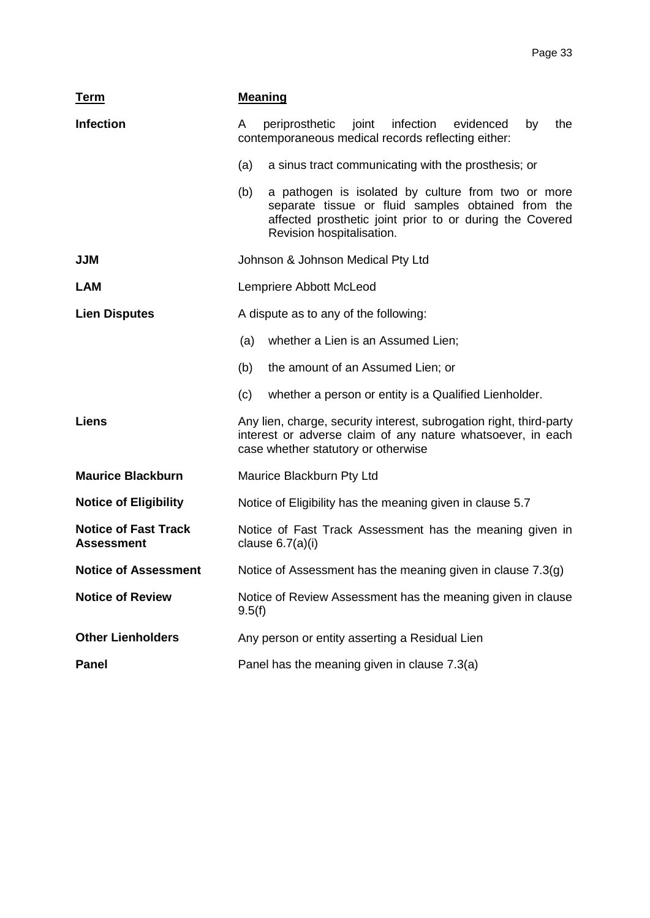| <b>Term</b>                                      | <b>Meaning</b>                                                                                                                                                                                           |  |  |  |  |
|--------------------------------------------------|----------------------------------------------------------------------------------------------------------------------------------------------------------------------------------------------------------|--|--|--|--|
| <b>Infection</b>                                 | periprosthetic joint<br>infection<br>evidenced<br>by<br>the<br>A<br>contemporaneous medical records reflecting either:                                                                                   |  |  |  |  |
|                                                  | a sinus tract communicating with the prosthesis; or<br>(a)                                                                                                                                               |  |  |  |  |
|                                                  | (b)<br>a pathogen is isolated by culture from two or more<br>separate tissue or fluid samples obtained from the<br>affected prosthetic joint prior to or during the Covered<br>Revision hospitalisation. |  |  |  |  |
| <b>JJM</b>                                       | Johnson & Johnson Medical Pty Ltd                                                                                                                                                                        |  |  |  |  |
| <b>LAM</b>                                       | Lempriere Abbott McLeod                                                                                                                                                                                  |  |  |  |  |
| <b>Lien Disputes</b>                             | A dispute as to any of the following:                                                                                                                                                                    |  |  |  |  |
|                                                  | whether a Lien is an Assumed Lien;<br>(a)                                                                                                                                                                |  |  |  |  |
|                                                  | the amount of an Assumed Lien; or<br>(b)                                                                                                                                                                 |  |  |  |  |
|                                                  | whether a person or entity is a Qualified Lienholder.<br>(c)                                                                                                                                             |  |  |  |  |
| <b>Liens</b>                                     | Any lien, charge, security interest, subrogation right, third-party<br>interest or adverse claim of any nature whatsoever, in each<br>case whether statutory or otherwise                                |  |  |  |  |
| <b>Maurice Blackburn</b>                         | Maurice Blackburn Pty Ltd                                                                                                                                                                                |  |  |  |  |
| <b>Notice of Eligibility</b>                     | Notice of Eligibility has the meaning given in clause 5.7                                                                                                                                                |  |  |  |  |
| <b>Notice of Fast Track</b><br><b>Assessment</b> | Notice of Fast Track Assessment has the meaning given in<br>clause $6.7(a)(i)$                                                                                                                           |  |  |  |  |
| <b>Notice of Assessment</b>                      | Notice of Assessment has the meaning given in clause 7.3(g)                                                                                                                                              |  |  |  |  |
| <b>Notice of Review</b>                          | Notice of Review Assessment has the meaning given in clause<br>9.5(f)                                                                                                                                    |  |  |  |  |
| <b>Other Lienholders</b>                         | Any person or entity asserting a Residual Lien                                                                                                                                                           |  |  |  |  |
| <b>Panel</b>                                     | Panel has the meaning given in clause 7.3(a)                                                                                                                                                             |  |  |  |  |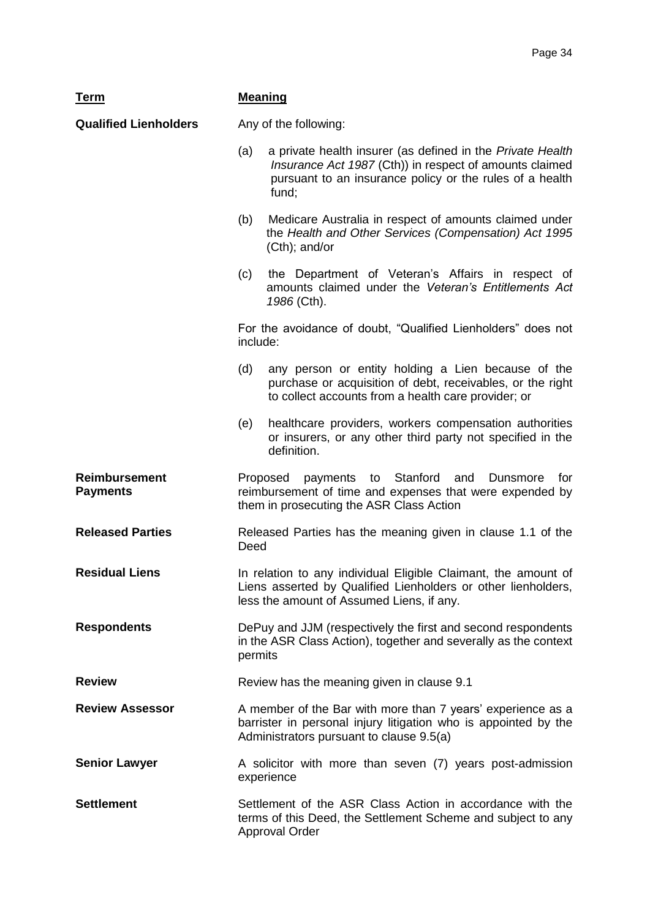| <u>Term</u>                             | <b>Meaning</b>                                                                                                                                                                                    |  |  |
|-----------------------------------------|---------------------------------------------------------------------------------------------------------------------------------------------------------------------------------------------------|--|--|
| <b>Qualified Lienholders</b>            | Any of the following:                                                                                                                                                                             |  |  |
|                                         | (a)<br>a private health insurer (as defined in the Private Health<br>Insurance Act 1987 (Cth)) in respect of amounts claimed<br>pursuant to an insurance policy or the rules of a health<br>fund; |  |  |
|                                         | Medicare Australia in respect of amounts claimed under<br>(b)<br>the Health and Other Services (Compensation) Act 1995<br>$(Cth)$ ; and/or                                                        |  |  |
|                                         | the Department of Veteran's Affairs in respect of<br>(c)<br>amounts claimed under the Veteran's Entitlements Act<br>1986 (Cth).                                                                   |  |  |
|                                         | For the avoidance of doubt, "Qualified Lienholders" does not<br>include:                                                                                                                          |  |  |
|                                         | (d)<br>any person or entity holding a Lien because of the<br>purchase or acquisition of debt, receivables, or the right<br>to collect accounts from a health care provider; or                    |  |  |
|                                         | healthcare providers, workers compensation authorities<br>(e)<br>or insurers, or any other third party not specified in the<br>definition.                                                        |  |  |
| <b>Reimbursement</b><br><b>Payments</b> | Stanford<br>Proposed<br>to<br>and<br>Dunsmore<br>for<br>payments<br>reimbursement of time and expenses that were expended by<br>them in prosecuting the ASR Class Action                          |  |  |
| <b>Released Parties</b>                 | Released Parties has the meaning given in clause 1.1 of the<br>Deed                                                                                                                               |  |  |
| <b>Residual Liens</b>                   | In relation to any individual Eligible Claimant, the amount of<br>Liens asserted by Qualified Lienholders or other lienholders,<br>less the amount of Assumed Liens, if any.                      |  |  |
| <b>Respondents</b>                      | DePuy and JJM (respectively the first and second respondents<br>in the ASR Class Action), together and severally as the context<br>permits                                                        |  |  |
| <b>Review</b>                           | Review has the meaning given in clause 9.1                                                                                                                                                        |  |  |
| <b>Review Assessor</b>                  | A member of the Bar with more than 7 years' experience as a<br>barrister in personal injury litigation who is appointed by the<br>Administrators pursuant to clause 9.5(a)                        |  |  |
| <b>Senior Lawyer</b>                    | A solicitor with more than seven (7) years post-admission<br>experience                                                                                                                           |  |  |
| <b>Settlement</b>                       | Settlement of the ASR Class Action in accordance with the<br>terms of this Deed, the Settlement Scheme and subject to any<br><b>Approval Order</b>                                                |  |  |